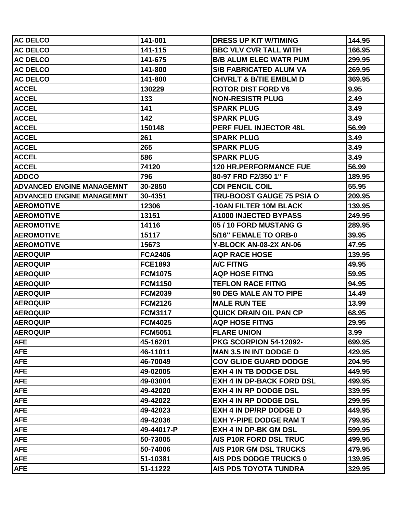| <b>AC DELCO</b>                  | 141-001        | <b>DRESS UP KIT W/TIMING</b>      | 144.95 |
|----------------------------------|----------------|-----------------------------------|--------|
| <b>AC DELCO</b>                  | 141-115        | <b>BBC VLV CVR TALL WITH</b>      | 166.95 |
| <b>AC DELCO</b>                  | 141-675        | <b>B/B ALUM ELEC WATR PUM</b>     | 299.95 |
| <b>AC DELCO</b>                  | 141-800        | <b>S/B FABRICATED ALUM VA</b>     | 269.95 |
| <b>AC DELCO</b>                  | 141-800        | <b>CHVRLT &amp; B/TIE EMBLM D</b> | 369.95 |
| <b>ACCEL</b>                     | 130229         | <b>ROTOR DIST FORD V6</b>         | 9.95   |
| <b>ACCEL</b>                     | 133            | <b>NON-RESISTR PLUG</b>           | 2.49   |
| <b>ACCEL</b>                     | 141            | <b>SPARK PLUG</b>                 | 3.49   |
| <b>ACCEL</b>                     | 142            | <b>SPARK PLUG</b>                 | 3.49   |
| <b>ACCEL</b>                     | 150148         | PERF FUEL INJECTOR 48L            | 56.99  |
| <b>ACCEL</b>                     | 261            | <b>SPARK PLUG</b>                 | 3.49   |
| <b>ACCEL</b>                     | 265            | <b>SPARK PLUG</b>                 | 3.49   |
| <b>ACCEL</b>                     | 586            | <b>SPARK PLUG</b>                 | 3.49   |
| <b>ACCEL</b>                     | 74120          | <b>120 HR.PERFORMANCE FUE</b>     | 56.99  |
| <b>ADDCO</b>                     | 796            | 80-97 FRD F2/350 1" F             | 189.95 |
| <b>ADVANCED ENGINE MANAGEMNT</b> | 30-2850        | <b>CDI PENCIL COIL</b>            | 55.95  |
| <b>ADVANCED ENGINE MANAGEMNT</b> | 30-4351        | TRU-BOOST GAUGE 75 PSIA O         | 209.95 |
| <b>AEROMOTIVE</b>                | 12306          | -10AN FILTER 10M BLACK            | 139.95 |
| <b>AEROMOTIVE</b>                | 13151          | <b>A1000 INJECTED BYPASS</b>      | 249.95 |
| <b>AEROMOTIVE</b>                | 14116          | 05 / 10 FORD MUSTANG G            | 289.95 |
| <b>AEROMOTIVE</b>                | 15117          | 5/16" FEMALE TO ORB-0             | 39.95  |
| <b>AEROMOTIVE</b>                | 15673          | Y-BLOCK AN-08-2X AN-06            | 47.95  |
| <b>AEROQUIP</b>                  | <b>FCA2406</b> | <b>AQP RACE HOSE</b>              | 139.95 |
| <b>AEROQUIP</b>                  | <b>FCE1893</b> | <b>A/C FITNG</b>                  | 49.95  |
| <b>AEROQUIP</b>                  | <b>FCM1075</b> | <b>AQP HOSE FITNG</b>             | 59.95  |
| <b>AEROQUIP</b>                  | <b>FCM1150</b> | <b>TEFLON RACE FITNG</b>          | 94.95  |
| <b>AEROQUIP</b>                  | <b>FCM2039</b> | <b>90 DEG MALE AN TO PIPE</b>     | 14.49  |
| <b>AEROQUIP</b>                  | <b>FCM2126</b> | <b>MALE RUN TEE</b>               | 13.99  |
| <b>AEROQUIP</b>                  | <b>FCM3117</b> | <b>QUICK DRAIN OIL PAN CP</b>     | 68.95  |
| <b>AEROQUIP</b>                  | <b>FCM4025</b> | <b>AQP HOSE FITNG</b>             | 29.95  |
| <b>AEROQUIP</b>                  | <b>FCM5051</b> | <b>FLARE UNION</b>                | 3.99   |
| <b>AFE</b>                       | 45-16201       | PKG SCORPION 54-12092-            | 699.95 |
| <b>AFE</b>                       | 46-11011       | <b>MAN 3.5 IN INT DODGE D</b>     | 429.95 |
| <b>AFE</b>                       | 46-70049       | <b>COV GLIDE GUARD DODGE</b>      | 204.95 |
| <b>AFE</b>                       | 49-02005       | <b>EXH 4 IN TB DODGE DSL</b>      | 449.95 |
| <b>AFE</b>                       | 49-03004       | <b>EXH 4 IN DP-BACK FORD DSL</b>  | 499.95 |
| <b>AFE</b>                       | 49-42020       | <b>EXH 4 IN RP DODGE DSL</b>      | 339.95 |
| <b>AFE</b>                       | 49-42022       | <b>EXH 4 IN RP DODGE DSL</b>      | 299.95 |
| <b>AFE</b>                       | 49-42023       | <b>EXH 4 IN DP/RP DODGE D</b>     | 449.95 |
| <b>AFE</b>                       | 49-42036       | <b>EXH Y-PIPE DODGE RAM T</b>     | 799.95 |
| <b>AFE</b>                       | 49-44017-P     | <b>EXH 4 IN DP-BK GM DSL</b>      | 599.95 |
| <b>AFE</b>                       | 50-73005       | AIS P10R FORD DSL TRUC            | 499.95 |
| <b>AFE</b>                       | 50-74006       | AIS P10R GM DSL TRUCKS            | 479.95 |
| <b>AFE</b>                       | 51-10381       | AIS PDS DODGE TRUCKS 0            | 139.95 |
| <b>AFE</b>                       | 51-11222       | AIS PDS TOYOTA TUNDRA             | 329.95 |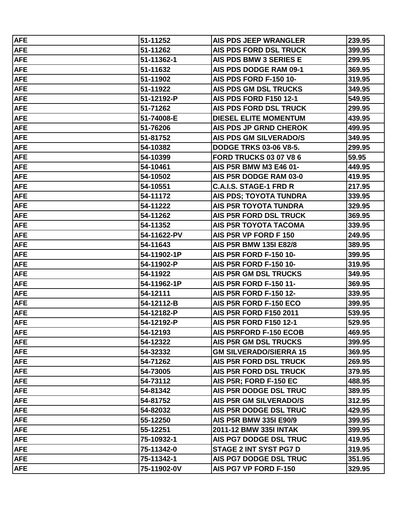| <b>AFE</b> | 51-11252    | AIS PDS JEEP WRANGLER         | 239.95 |
|------------|-------------|-------------------------------|--------|
| <b>AFE</b> | 51-11262    | AIS PDS FORD DSL TRUCK        | 399.95 |
| <b>AFE</b> | 51-11362-1  | AIS PDS BMW 3 SERIES E        | 299.95 |
| <b>AFE</b> | 51-11632    | AIS PDS DODGE RAM 09-1        | 369.95 |
| <b>AFE</b> | 51-11902    | <b>AIS PDS FORD F-150 10-</b> | 319.95 |
| <b>AFE</b> | 51-11922    | AIS PDS GM DSL TRUCKS         | 349.95 |
| <b>AFE</b> | 51-12192-P  | <b>AIS PDS FORD F150 12-1</b> | 549.95 |
| <b>AFE</b> | 51-71262    | AIS PDS FORD DSL TRUCK        | 299.95 |
| <b>AFE</b> | 51-74008-E  | <b>DIESEL ELITE MOMENTUM</b>  | 439.95 |
| <b>AFE</b> | 51-76206    | <b>AIS PDS JP GRND CHEROK</b> | 499.95 |
| <b>AFE</b> | 51-81752    | <b>AIS PDS GM SILVERADO/S</b> | 349.95 |
| <b>AFE</b> | 54-10382    | <b>DODGE TRKS 03-06 V8-5.</b> | 299.95 |
| <b>AFE</b> | 54-10399    | <b>FORD TRUCKS 03 07 V8 6</b> | 59.95  |
| <b>AFE</b> | 54-10461    | AIS P5R BMW M3 E46 01-        | 449.95 |
| <b>AFE</b> | 54-10502    | AIS P5R DODGE RAM 03-0        | 419.95 |
| <b>AFE</b> | 54-10551    | <b>C.A.I.S. STAGE-1 FRD R</b> | 217.95 |
| <b>AFE</b> | 54-11172    | <b>AIS PDS; TOYOTA TUNDRA</b> | 339.95 |
| <b>AFE</b> | 54-11222    | <b>AIS P5R TOYOTA TUNDRA</b>  | 329.95 |
| <b>AFE</b> | 54-11262    | <b>AIS P5R FORD DSL TRUCK</b> | 369.95 |
| <b>AFE</b> | 54-11352    | <b>AIS P5R TOYOTA TACOMA</b>  | 339.95 |
| <b>AFE</b> | 54-11622-PV | AIS P5R VP FORD F 150         | 249.95 |
| <b>AFE</b> | 54-11643    | AIS P5R BMW 135I E82/8        | 389.95 |
| <b>AFE</b> | 54-11902-1P | AIS P5R FORD F-150 10-        | 399.95 |
| <b>AFE</b> | 54-11902-P  | <b>AIS P5R FORD F-150 10-</b> | 319.95 |
| <b>AFE</b> | 54-11922    | AIS P5R GM DSL TRUCKS         | 349.95 |
| <b>AFE</b> | 54-11962-1P | <b>AIS P5R FORD F-150 11-</b> | 369.95 |
| <b>AFE</b> | 54-12111    | <b>AIS P5R FORD F-150 12-</b> | 339.95 |
| <b>AFE</b> | 54-12112-B  | AIS P5R FORD F-150 ECO        | 399.95 |
| <b>AFE</b> | 54-12182-P  | <b>AIS P5R FORD F150 2011</b> | 539.95 |
| <b>AFE</b> | 54-12192-P  | <b>AIS P5R FORD F150 12-1</b> | 529.95 |
| <b>AFE</b> | 54-12193    | <b>AIS P5RFORD F-150 ECOB</b> | 469.95 |
| <b>AFE</b> | 54-12322    | AIS P5R GM DSL TRUCKS         | 399.95 |
| <b>AFE</b> | 54-32332    | <b>GM SILVERADO/SIERRA 15</b> | 369.95 |
| <b>AFE</b> | 54-71262    | <b>AIS P5R FORD DSL TRUCK</b> | 269.95 |
| <b>AFE</b> | 54-73005    | <b>AIS P5R FORD DSL TRUCK</b> | 379.95 |
| <b>AFE</b> | 54-73112    | AIS P5R; FORD F-150 EC        | 488.95 |
| <b>AFE</b> | 54-81342    | AIS P5R DODGE DSL TRUC        | 389.95 |
| <b>AFE</b> | 54-81752    | AIS P5R GM SILVERADO/S        | 312.95 |
| <b>AFE</b> | 54-82032    | AIS P5R DODGE DSL TRUC        | 429.95 |
| <b>AFE</b> | 55-12250    | AIS P5R BMW 335I E90/9        | 399.95 |
| <b>AFE</b> | 55-12251    | 2011-12 BMW 335I INTAK        | 399.95 |
| <b>AFE</b> | 75-10932-1  | AIS PG7 DODGE DSL TRUC        | 419.95 |
| <b>AFE</b> | 75-11342-0  | <b>STAGE 2 INT SYST PG7 D</b> | 319.95 |
| <b>AFE</b> | 75-11342-1  | AIS PG7 DODGE DSL TRUC        | 351.95 |
| <b>AFE</b> | 75-11902-0V | AIS PG7 VP FORD F-150         | 329.95 |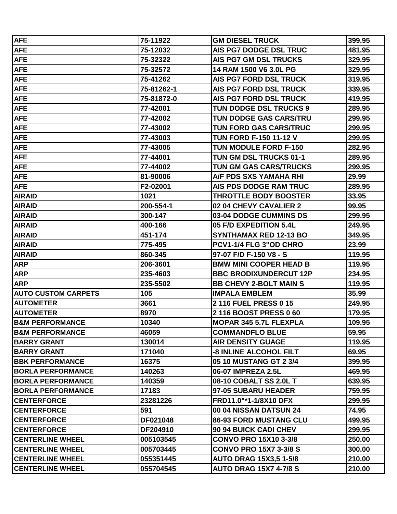| <b>AFE</b>                  | 75-11922   | <b>GM DIESEL TRUCK</b>        | 399.95 |
|-----------------------------|------------|-------------------------------|--------|
| <b>AFE</b>                  | 75-12032   | AIS PG7 DODGE DSL TRUC        | 481.95 |
| <b>AFE</b>                  | 75-32322   | <b>AIS PG7 GM DSL TRUCKS</b>  | 329.95 |
| <b>AFE</b>                  | 75-32572   | 14 RAM 1500 V6 3.0L PG        | 329.95 |
| <b>AFE</b>                  | 75-41262   | <b>AIS PG7 FORD DSL TRUCK</b> | 319.95 |
| <b>AFE</b>                  | 75-81262-1 | <b>AIS PG7 FORD DSL TRUCK</b> | 339.95 |
| <b>AFE</b>                  | 75-81872-0 | <b>AIS PG7 FORD DSL TRUCK</b> | 419.95 |
| <b>AFE</b>                  | 77-42001   | TUN DODGE DSL TRUCKS 9        | 289.95 |
| <b>AFE</b>                  | 77-42002   | TUN DODGE GAS CARS/TRU        | 299.95 |
| <b>AFE</b>                  | 77-43002   | TUN FORD GAS CARS/TRUC        | 299.95 |
| <b>AFE</b>                  | 77-43003   | <b>TUN FORD F-150 11-12 V</b> | 299.95 |
| <b>AFE</b>                  | 77-43005   | <b>TUN MODULE FORD F-150</b>  | 282.95 |
| <b>AFE</b>                  | 77-44001   | TUN GM DSL TRUCKS 01-1        | 289.95 |
| <b>AFE</b>                  | 77-44002   | TUN GM GAS CARS/TRUCKS        | 299.95 |
| <b>AFE</b>                  | 81-90006   | A/F PDS SXS YAMAHA RHI        | 29.99  |
| <b>AFE</b>                  | F2-02001   | AIS PDS DODGE RAM TRUC        | 289.95 |
| <b>AIRAID</b>               | 1021       | <b>THROTTLE BODY BOOSTER</b>  | 33.95  |
| <b>AIRAID</b>               | 200-554-1  | 02 04 CHEVY CAVALIER 2        | 99.95  |
| <b>AIRAID</b>               | 300-147    | 03-04 DODGE CUMMINS DS        | 299.95 |
| <b>AIRAID</b>               | 400-166    | 05 F/D EXPEDITION 5.4L        | 249.95 |
| <b>AIRAID</b>               | 451-174    | <b>SYNTHAMAX RED 12-13 BO</b> | 349.95 |
| <b>AIRAID</b>               | 775-495    | PCV1-1/4 FLG 3"OD CHRO        | 23.99  |
| <b>AIRAID</b>               | 860-345    | 97-07 F/D F-150 V8 - S        | 119.95 |
| <b>ARP</b>                  | 206-3601   | <b>BMW MINI COOPER HEAD B</b> | 119.95 |
| <b>ARP</b>                  | 235-4603   | <b>BBC BRODIXUNDERCUT 12P</b> | 234.95 |
| <b>ARP</b>                  | 235-5502   | <b>BB CHEVY 2-BOLT MAIN S</b> | 119.95 |
| <b>AUTO CUSTOM CARPETS</b>  | 105        | <b>IMPALA EMBLEM</b>          | 35.99  |
| <b>AUTOMETER</b>            | 3661       | 2 116 FUEL PRESS 0 15         | 249.95 |
| <b>AUTOMETER</b>            | 8970       | 2116 BOOST PRESS 060          | 179.95 |
| <b>IB&amp;M PERFORMANCE</b> | 10340      | <b>MOPAR 345 5.7L FLEXPLA</b> | 109.95 |
| <b>B&amp;M PERFORMANCE</b>  | 46059      | <b>COMMANDFLO BLUE</b>        | 59.95  |
| <b>BARRY GRANT</b>          | 130014     | <b>AIR DENSITY GUAGE</b>      | 119.95 |
| <b>BARRY GRANT</b>          | 171040     | <b>-8 INLINE ALCOHOL FILT</b> | 69.95  |
| <b>BBK PERFORMANCE</b>      | 16375      | 05 10 MUSTANG GT 2 3/4        | 399.95 |
| <b>BORLA PERFORMANCE</b>    | 140263     | 06-07 IMPREZA 2.5L            | 469.95 |
| <b>BORLA PERFORMANCE</b>    | 140359     | 08-10 COBALT SS 2.0L T        | 639.95 |
| <b>BORLA PERFORMANCE</b>    | 17183      | 97-05 SUBARU HEADER           | 759.95 |
| <b>CENTERFORCE</b>          | 23281226   | FRD11.0"*1-1/8X10 DFX         | 299.95 |
| <b>CENTERFORCE</b>          | 591        | 00 04 NISSAN DATSUN 24        | 74.95  |
| <b>CENTERFORCE</b>          | DF021048   | <b>86-93 FORD MUSTANG CLU</b> | 499.95 |
| <b>CENTERFORCE</b>          | DF204910   | 90 94 BUICK CADI CHEV         | 299.95 |
| <b>CENTERLINE WHEEL</b>     | 005103545  | <b>CONVO PRO 15X10 3-3/8</b>  | 250.00 |
| <b>CENTERLINE WHEEL</b>     | 005703445  | <b>CONVO PRO 15X7 3-3/8 S</b> | 300.00 |
| <b>CENTERLINE WHEEL</b>     | 055351445  | <b>AUTO DRAG 15X3,5 1-5/8</b> | 210.00 |
| <b>CENTERLINE WHEEL</b>     | 055704545  | <b>AUTO DRAG 15X7 4-7/8 S</b> | 210.00 |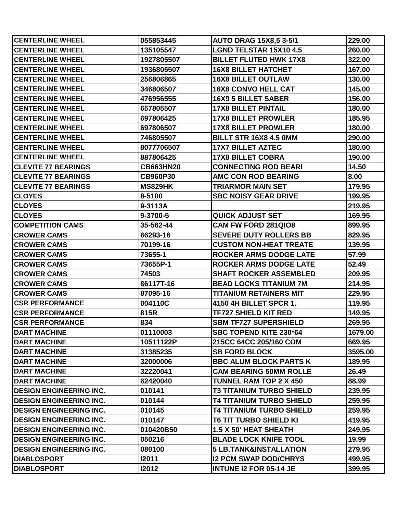| <b>CENTERLINE WHEEL</b>        | 055853445        | <b>AUTO DRAG 15X8,5 3-5/1</b>     | 229.00  |
|--------------------------------|------------------|-----------------------------------|---------|
| <b>CENTERLINE WHEEL</b>        | 135105547        | <b>LGND TELSTAR 15X10 4.5</b>     | 260.00  |
| <b>CENTERLINE WHEEL</b>        | 1927805507       | <b>BILLET FLUTED HWK 17X8</b>     | 322.00  |
| <b>CENTERLINE WHEEL</b>        | 1936805507       | <b>16X8 BILLET HATCHET</b>        | 167.00  |
| <b>CENTERLINE WHEEL</b>        | 256806865        | <b>16X8 BILLET OUTLAW</b>         | 130.00  |
| <b>CENTERLINE WHEEL</b>        | 346806507        | <b>16X8 CONVO HELL CAT</b>        | 145.00  |
| <b>CENTERLINE WHEEL</b>        | 476956555        | <b>16X9 5 BILLET SABER</b>        | 156.00  |
| <b>CENTERLINE WHEEL</b>        | 657805507        | <b>17X8 BILLET PINTAIL</b>        | 180.00  |
| <b>CENTERLINE WHEEL</b>        | 697806425        | <b>17X8 BILLET PROWLER</b>        | 185.95  |
| <b>CENTERLINE WHEEL</b>        | 697806507        | <b>17X8 BILLET PROWLER</b>        | 180.00  |
| <b>CENTERLINE WHEEL</b>        | 746805507        | <b>BILLT STR 16X8 4.5 0MM</b>     | 290.00  |
| <b>CENTERLINE WHEEL</b>        | 8077706507       | <b>17X7 BILLET AZTEC</b>          | 180.00  |
| <b>CENTERLINE WHEEL</b>        | 887806425        | <b>17X8 BILLET COBRA</b>          | 190.00  |
| <b>CLEVITE 77 BEARINGS</b>     | <b>CB663HN20</b> | <b>CONNECTING ROD BEARI</b>       | 14.50   |
| <b>CLEVITE 77 BEARINGS</b>     | <b>CB960P30</b>  | <b>AMC CON ROD BEARING</b>        | 8.00    |
| <b>CLEVITE 77 BEARINGS</b>     | <b>MS829HK</b>   | <b>TRIARMOR MAIN SET</b>          | 179.95  |
| <b>CLOYES</b>                  | 8-5100           | <b>SBC NOISY GEAR DRIVE</b>       | 199.95  |
| <b>CLOYES</b>                  | 9-3113A          |                                   | 219.95  |
| <b>CLOYES</b>                  | 9-3700-5         | <b>QUICK ADJUST SET</b>           | 169.95  |
| <b>COMPETITION CAMS</b>        | 35-562-44        | <b>CAM FW FORD 281QIO8</b>        | 899.95  |
| <b>CROWER CAMS</b>             | 66293-16         | <b>SEVERE DUTY ROLLERS BB</b>     | 829.95  |
| <b>CROWER CAMS</b>             | 70199-16         | <b>CUSTOM NON-HEAT TREATE</b>     | 139.95  |
| <b>CROWER CAMS</b>             | 73655-1          | <b>ROCKER ARMS DODGE LATE</b>     | 57.99   |
| <b>CROWER CAMS</b>             | 73655P-1         | <b>ROCKER ARMS DODGE LATE</b>     | 52.49   |
| <b>CROWER CAMS</b>             | 74503            | <b>SHAFT ROCKER ASSEMBLED</b>     | 209.95  |
| <b>CROWER CAMS</b>             | 86117T-16        | <b>BEAD LOCKS TITANIUM 7M</b>     | 214.95  |
| <b>CROWER CAMS</b>             | 87095-16         | <b>TITANIUM RETAINERS MIT</b>     | 229.95  |
| <b>CSR PERFORMANCE</b>         | 004110C          | 4150 4H BILLET SPCR 1.            | 119.95  |
| <b>CSR PERFORMANCE</b>         | 815R             | <b>TF727 SHIELD KIT RED</b>       | 149.95  |
| <b>CSR PERFORMANCE</b>         | 834              | <b>SBM TF727 SUPERSHIELD</b>      | 269.95  |
| <b>DART MACHINE</b>            | 01110003         | <b>SBC TOPEND KITE 230*64</b>     | 1679.00 |
| <b>DART MACHINE</b>            | 10511122P        | 215CC 64CC 205/160 COM            | 669.95  |
| <b>DART MACHINE</b>            | 31385235         | <b>SB FORD BLOCK</b>              | 3595.00 |
| <b>DART MACHINE</b>            | 32000006         | <b>BBC ALUM BLOCK PARTS K</b>     | 189.95  |
| <b>DART MACHINE</b>            | 32220041         | <b>CAM BEARING 50MM ROLLE</b>     | 26.49   |
| <b>DART MACHINE</b>            | 62420040         | <b>TUNNEL RAM TOP 2 X 450</b>     | 88.99   |
| <b>DESIGN ENGINEERING INC.</b> | 010141           | <b>T3 TITANIUM TURBO SHIELD</b>   | 239.95  |
| <b>DESIGN ENGINEERING INC.</b> | 010144           | <b>T4 TITANIUM TURBO SHIELD</b>   | 259.95  |
| <b>DESIGN ENGINEERING INC.</b> | 010145           | <b>T4 TITANIUM TURBO SHIELD</b>   | 259.95  |
| <b>DESIGN ENGINEERING INC.</b> | 010147           | <b>T6 TIT TURBO SHIELD KI</b>     | 419.95  |
| <b>DESIGN ENGINEERING INC.</b> | 010420B50        | 1.5 X 50' HEAT SHEATH             | 249.95  |
| <b>DESIGN ENGINEERING INC.</b> | 050216           | <b>BLADE LOCK KNIFE TOOL</b>      | 19.99   |
| <b>DESIGN ENGINEERING INC.</b> | 080100           | <b>5 LB.TANK&amp;INSTALLATION</b> | 279.95  |
| <b>DIABLOSPORT</b>             | 12011            | <b>I2 PCM SWAP DOD/CHRYS</b>      | 499.95  |
| <b>DIABLOSPORT</b>             | 12012            | <b>INTUNE I2 FOR 05-14 JE</b>     | 399.95  |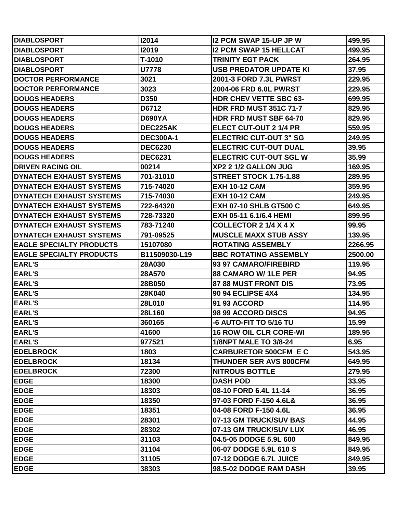| <b>IDIABLOSPORT</b>             | 12014            | <b>I2 PCM SWAP 15-UP JP W</b> | 499.95  |
|---------------------------------|------------------|-------------------------------|---------|
| <b>IDIABLOSPORT</b>             | <b>I2019</b>     | <b>I2 PCM SWAP 15 HELLCAT</b> | 499.95  |
| <b>DIABLOSPORT</b>              | T-1010           | <b>TRINITY EGT PACK</b>       | 264.95  |
| <b>DIABLOSPORT</b>              | <b>U7778</b>     | <b>USB PREDATOR UPDATE KI</b> | 37.95   |
| <b>DOCTOR PERFORMANCE</b>       | 3021             | 2001-3 FORD 7.3L PWRST        | 229.95  |
| <b>DOCTOR PERFORMANCE</b>       | 3023             | 2004-06 FRD 6.0L PWRST        | 229.95  |
| <b>DOUGS HEADERS</b>            | D350             | <b>HDR CHEV VETTE SBC 63-</b> | 699.95  |
| <b>DOUGS HEADERS</b>            | D6712            | <b>HDR FRD MUST 351C 71-7</b> | 829.95  |
| <b>IDOUGS HEADERS</b>           | <b>D690YA</b>    | <b>HDR FRD MUST SBF 64-70</b> | 829.95  |
| <b>IDOUGS HEADERS</b>           | DEC225AK         | <b>ELECT CUT-OUT 2 1/4 PR</b> | 559.95  |
| <b>DOUGS HEADERS</b>            | <b>DEC300A-1</b> | <b>ELECTRIC CUT-OUT 3" SG</b> | 249.95  |
| <b>DOUGS HEADERS</b>            | <b>DEC6230</b>   | <b>ELECTRIC CUT-OUT DUAL</b>  | 39.95   |
| <b>IDOUGS HEADERS</b>           | <b>DEC6231</b>   | <b>ELECTRIC CUT-OUT SGL W</b> | 35.99   |
| <b>IDRIVEN RACING OIL</b>       | 00214            | XP2 2 1/2 GALLON JUG          | 169.95  |
| <b>DYNATECH EXHAUST SYSTEMS</b> | 701-31010        | <b>STREET STOCK 1.75-1.88</b> | 289.95  |
| <b>DYNATECH EXHAUST SYSTEMS</b> | 715-74020        | <b>EXH 10-12 CAM</b>          | 359.95  |
| DYNATECH EXHAUST SYSTEMS        | 715-74030        | <b>EXH 10-12 CAM</b>          | 249.95  |
| <b>DYNATECH EXHAUST SYSTEMS</b> | 722-64320        | <b>EXH 07-10 SHLB GT500 C</b> | 649.95  |
| <b>DYNATECH EXHAUST SYSTEMS</b> | 728-73320        | EXH 05-11 6.1/6.4 HEMI        | 899.95  |
| <b>DYNATECH EXHAUST SYSTEMS</b> | 783-71240        | <b>COLLECTOR 2 1/4 X 4 X</b>  | 99.95   |
| <b>DYNATECH EXHAUST SYSTEMS</b> | 791-09525        | <b>MUSCLE MAXX STUB ASSY</b>  | 139.95  |
| <b>EAGLE SPECIALTY PRODUCTS</b> | 15107080         | <b>ROTATING ASSEMBLY</b>      | 2266.95 |
| <b>EAGLE SPECIALTY PRODUCTS</b> | B11509030-L19    | <b>BBC ROTATING ASSEMBLY</b>  | 2500.00 |
| <b>EARL'S</b>                   | 28A030           | 93 97 CAMARO/FIREBIRD         | 119.95  |
| <b>EARL'S</b>                   | 28A570           | <b>88 CAMARO W/1LE PER</b>    | 94.95   |
| <b>EARL'S</b>                   | 28B050           | 87 88 MUST FRONT DIS          | 73.95   |
| <b>EARL'S</b>                   | 28K040           | <b>90 94 ECLIPSE 4X4</b>      | 134.95  |
| <b>EARL'S</b>                   | 28L010           | <b>91 93 ACCORD</b>           | 114.95  |
| <b>EARL'S</b>                   | 28L160           | 98 99 ACCORD DISCS            | 94.95   |
| <b>EARL'S</b>                   | 360165           | -6 AUTO-FIT TO 5/16 TU        | 15.99   |
| <b>EARL'S</b>                   | 41600            | <b>16 ROW OIL CLR CORE-WI</b> | 189.95  |
| <b>EARL'S</b>                   | 977521           | <b>1/8NPT MALE TO 3/8-24</b>  | 6.95    |
| <b>EDELBROCK</b>                | 1803             | <b>CARBURETOR 500CFM E C</b>  | 543.95  |
| <b>IEDELBROCK</b>               | 18134            | <b>THUNDER SER AVS 800CFM</b> | 649.95  |
| <b>EDELBROCK</b>                | 72300            | <b>NITROUS BOTTLE</b>         | 279.95  |
| <b>EDGE</b>                     | 18300            | <b>DASH POD</b>               | 33.95   |
| <b>EDGE</b>                     | 18303            | 08-10 FORD 6.4L 11-14         | 36.95   |
| <b>EDGE</b>                     | 18350            | 97-03 FORD F-150 4.6L&        | 36.95   |
| <b>EDGE</b>                     | 18351            | 04-08 FORD F-150 4.6L         | 36.95   |
| <b>EDGE</b>                     | 28301            | 07-13 GM TRUCK/SUV BAS        | 44.95   |
| <b>EDGE</b>                     | 28302            | 07-13 GM TRUCK/SUV LUX        | 46.95   |
| <b>EDGE</b>                     | 31103            | 04.5-05 DODGE 5.9L 600        | 849.95  |
| <b>EDGE</b>                     | 31104            | 06-07 DODGE 5.9L 610 S        | 849.95  |
| <b>EDGE</b>                     | 31105            | 07-12 DODGE 6.7L JUICE        | 849.95  |
| <b>EDGE</b>                     | 38303            | 98.5-02 DODGE RAM DASH        | 39.95   |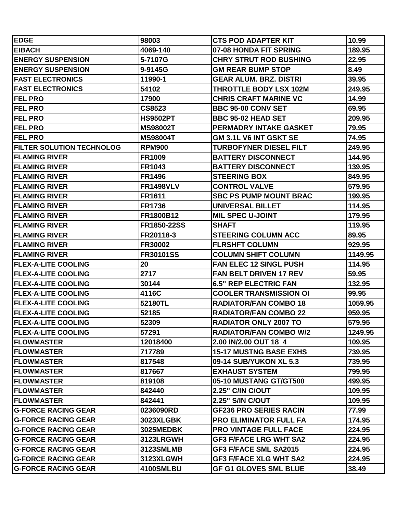| <b>EDGE</b>                      | 98003            | <b>CTS POD ADAPTER KIT</b>    | 10.99   |
|----------------------------------|------------------|-------------------------------|---------|
| <b>EIBACH</b>                    | 4069-140         | 07-08 HONDA FIT SPRING        | 189.95  |
| <b>ENERGY SUSPENSION</b>         | 5-7107G          | <b>CHRY STRUT ROD BUSHING</b> | 22.95   |
| <b>ENERGY SUSPENSION</b>         | 9-9145G          | <b>GM REAR BUMP STOP</b>      | 8.49    |
| <b>FAST ELECTRONICS</b>          | 11990-1          | <b>GEAR ALUM. BRZ. DISTRI</b> | 39.95   |
| <b>FAST ELECTRONICS</b>          | 54102            | <b>THROTTLE BODY LSX 102M</b> | 249.95  |
| <b>FEL PRO</b>                   | 17900            | <b>CHRIS CRAFT MARINE VC</b>  | 14.99   |
| <b>FEL PRO</b>                   | <b>CS8523</b>    | <b>BBC 95-00 CONV SET</b>     | 69.95   |
| <b>FEL PRO</b>                   | <b>HS9502PT</b>  | <b>BBC 95-02 HEAD SET</b>     | 209.95  |
| <b>FEL PRO</b>                   | <b>MS98002T</b>  | PERMADRY INTAKE GASKET        | 79.95   |
| <b>FEL PRO</b>                   | <b>MS98004T</b>  | GM 3.1L V6 INT GSKT SE        | 74.95   |
| <b>FILTER SOLUTION TECHNOLOG</b> | <b>RPM900</b>    | <b>TURBOFYNER DIESEL FILT</b> | 249.95  |
| <b>FLAMING RIVER</b>             | <b>FR1009</b>    | <b>BATTERY DISCONNECT</b>     | 144.95  |
| <b>FLAMING RIVER</b>             | <b>FR1043</b>    | <b>BATTERY DISCONNECT</b>     | 139.95  |
| <b>FLAMING RIVER</b>             | <b>FR1496</b>    | <b>STEERING BOX</b>           | 849.95  |
| <b>FLAMING RIVER</b>             | <b>FR1498VLV</b> | <b>CONTROL VALVE</b>          | 579.95  |
| <b>FLAMING RIVER</b>             | <b>FR1611</b>    | <b>SBC PS PUMP MOUNT BRAC</b> | 199.95  |
| <b>FLAMING RIVER</b>             | <b>FR1736</b>    | <b>UNIVERSAL BILLET</b>       | 114.95  |
| <b>FLAMING RIVER</b>             | FR1800B12        | <b>MIL SPEC U-JOINT</b>       | 179.95  |
| <b>FLAMING RIVER</b>             | FR1850-22SS      | <b>SHAFT</b>                  | 119.95  |
| <b>FLAMING RIVER</b>             | FR20118-3        | <b>STEERING COLUMN ACC</b>    | 89.95   |
| <b>FLAMING RIVER</b>             | FR30002          | <b>FLRSHFT COLUMN</b>         | 929.95  |
| <b>FLAMING RIVER</b>             | <b>FR30101SS</b> | <b>COLUMN SHIFT COLUMN</b>    | 1149.95 |
| <b>FLEX-A-LITE COOLING</b>       | 20               | <b>FAN ELEC 12 SINGL PUSH</b> | 114.95  |
| <b>FLEX-A-LITE COOLING</b>       | 2717             | <b>FAN BELT DRIVEN 17 REV</b> | 59.95   |
| <b>FLEX-A-LITE COOLING</b>       | 30144            | <b>6.5" REP ELECTRIC FAN</b>  | 132.95  |
| <b>FLEX-A-LITE COOLING</b>       | 4116C            | <b>COOLER TRANSMISSION OI</b> | 99.95   |
| <b>FLEX-A-LITE COOLING</b>       | 52180TL          | <b>RADIATOR/FAN COMBO 18</b>  | 1059.95 |
| <b>FLEX-A-LITE COOLING</b>       | 52185            | <b>RADIATOR/FAN COMBO 22</b>  | 959.95  |
| <b>FLEX-A-LITE COOLING</b>       | 52309            | <b>RADIATOR ONLY 2007 TO</b>  | 579.95  |
| <b>FLEX-A-LITE COOLING</b>       | 57291            | <b>RADIATOR/FAN COMBO W/2</b> | 1249.95 |
| <b>FLOWMASTER</b>                | 12018400         | 2.00 IN/2.00 OUT 18 4         | 109.95  |
| <b>FLOWMASTER</b>                | 717789           | <b>15-17 MUSTNG BASE EXHS</b> | 739.95  |
| <b>FLOWMASTER</b>                | 817548           | 09-14 SUB/YUKON XL 5.3        | 739.95  |
| <b>FLOWMASTER</b>                | 817667           | <b>EXHAUST SYSTEM</b>         | 799.95  |
| <b>FLOWMASTER</b>                | 819108           | 05-10 MUSTANG GT/GT500        | 499.95  |
| <b>FLOWMASTER</b>                | 842440           | <b>2.25" C/IN C/OUT</b>       | 109.95  |
| <b>FLOWMASTER</b>                | 842441           | <b>2.25" S/IN C/OUT</b>       | 109.95  |
| <b>G-FORCE RACING GEAR</b>       | 0236090RD        | <b>GF236 PRO SERIES RACIN</b> | 77.99   |
| <b>G-FORCE RACING GEAR</b>       | <b>3023XLGBK</b> | <b>PRO ELIMINATOR FULL FA</b> | 174.95  |
| <b>G-FORCE RACING GEAR</b>       | 3025MEDBK        | <b>PRO VINTAGE FULL FACE</b>  | 224.95  |
| <b>G-FORCE RACING GEAR</b>       | 3123LRGWH        | <b>GF3 F/FACE LRG WHT SA2</b> | 224.95  |
| <b>G-FORCE RACING GEAR</b>       | 3123SMLMB        | GF3 F/FACE SML SA2015         | 224.95  |
| <b>G-FORCE RACING GEAR</b>       | 3123XLGWH        | <b>GF3 F/FACE XLG WHT SA2</b> | 224.95  |
| <b>G-FORCE RACING GEAR</b>       | 4100SMLBU        | <b>GF G1 GLOVES SML BLUE</b>  | 38.49   |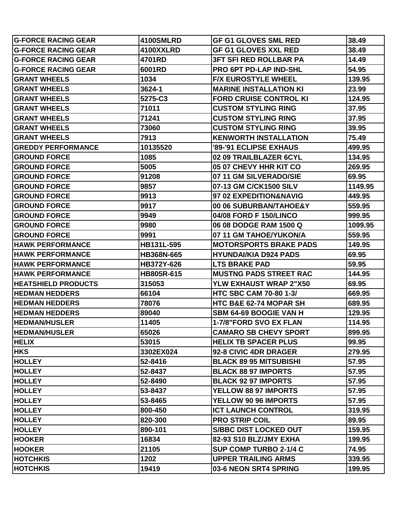| <b>IG-FORCE RACING GEAR</b> | 4100SMLRD         | <b>GF G1 GLOVES SML RED</b>   | 38.49   |
|-----------------------------|-------------------|-------------------------------|---------|
| <b>G-FORCE RACING GEAR</b>  | 4100XXLRD         | <b>GF G1 GLOVES XXL RED</b>   | 38.49   |
| <b>IG-FORCE RACING GEAR</b> | 4701RD            | <b>3FT SFI RED ROLLBAR PA</b> | 14.49   |
| <b>G-FORCE RACING GEAR</b>  | 6001RD            | <b>PRO 6PT PD-LAP IND-SHL</b> | 54.95   |
| <b>GRANT WHEELS</b>         | 1034              | <b>F/X EUROSTYLE WHEEL</b>    | 139.95  |
| <b>GRANT WHEELS</b>         | 3624-1            | <b>MARINE INSTALLATION KI</b> | 23.99   |
| <b>GRANT WHEELS</b>         | 5275-C3           | <b>FORD CRUISE CONTROL KI</b> | 124.95  |
| <b>GRANT WHEELS</b>         | 71011             | <b>CUSTOM STYLING RING</b>    | 37.95   |
| <b>GRANT WHEELS</b>         | 71241             | <b>CUSTOM STYLING RING</b>    | 37.95   |
| <b>GRANT WHEELS</b>         | 73060             | <b>CUSTOM STYLING RING</b>    | 39.95   |
| <b>GRANT WHEELS</b>         | 7913              | <b>KENWORTH INSTALLATION</b>  | 75.49   |
| <b>GREDDY PERFORMANCE</b>   | 10135520          | '89-'91 ECLIPSE EXHAUS        | 499.95  |
| <b>IGROUND FORCE</b>        | 1085              | 02 09 TRAILBLAZER 6CYL        | 134.95  |
| <b>IGROUND FORCE</b>        | 5005              | 05 07 CHEVY HHR KIT CO        | 269.95  |
| <b>IGROUND FORCE</b>        | 91208             | 07 11 GM SILVERADO/SIE        | 69.95   |
| <b>IGROUND FORCE</b>        | 9857              | 07-13 GM C/CK1500 SILV        | 1149.95 |
| <b>IGROUND FORCE</b>        | 9913              | 97 02 EXPEDITION&NAVIG        | 449.95  |
| <b>IGROUND FORCE</b>        | 9917              | 00 06 SUBURBAN/TAHOE&Y        | 559.95  |
| <b>IGROUND FORCE</b>        | 9949              | 04/08 FORD F 150/LINCO        | 999.95  |
| <b>IGROUND FORCE</b>        | 9980              | 06 08 DODGE RAM 1500 Q        | 1099.95 |
| <b>IGROUND FORCE</b>        | 9991              | 07 11 GM TAHOE/YUKON/A        | 559.95  |
| <b>HAWK PERFORMANCE</b>     | HB131L-595        | <b>MOTORSPORTS BRAKE PADS</b> | 149.95  |
| <b>IHAWK PERFORMANCE</b>    | <b>HB368N-665</b> | <b>HYUNDAI/KIA D924 PADS</b>  | 69.95   |
| <b>HAWK PERFORMANCE</b>     | HB372Y-626        | <b>LTS BRAKE PAD</b>          | 59.95   |
| <b>IHAWK PERFORMANCE</b>    | HB805R-615        | <b>MUSTNG PADS STREET RAC</b> | 144.95  |
| <b>HEATSHIELD PRODUCTS</b>  | 315053            | <b>YLW EXHAUST WRAP 2"X50</b> | 69.95   |
| <b>IHEDMAN HEDDERS</b>      | 66104             | <b>HTC SBC CAM 70-80 1-3/</b> | 669.95  |
| <b>HEDMAN HEDDERS</b>       | 78076             | HTC B&E 62-74 MOPAR SH        | 689.95  |
| <b>HEDMAN HEDDERS</b>       | 89040             | <b>SBM 64-69 BOOGIE VAN H</b> | 129.95  |
| <b>HEDMAN/HUSLER</b>        | 11405             | 1-7/8"FORD SVO EX FLAN        | 114.95  |
| <b>HEDMAN/HUSLER</b>        | 65026             | <b>CAMARO SB CHEVY SPORT</b>  | 899.95  |
| <b>HELIX</b>                | 53015             | <b>HELIX TB SPACER PLUS</b>   | 99.95   |
| <b>HKS</b>                  | 3302EX024         | 92-8 CIVIC 4DR DRAGER         | 279.95  |
| <b>HOLLEY</b>               | 52-8416           | <b>BLACK 89 95 MITSUBISHI</b> | 57.95   |
| <b>HOLLEY</b>               | 52-8437           | <b>BLACK 88 97 IMPORTS</b>    | 57.95   |
| <b>HOLLEY</b>               | 52-8490           | <b>BLACK 92 97 IMPORTS</b>    | 57.95   |
| <b>HOLLEY</b>               | 53-8437           | YELLOW 88 97 IMPORTS          | 57.95   |
| <b>HOLLEY</b>               | 53-8465           | YELLOW 90 96 IMPORTS          | 57.95   |
| <b>HOLLEY</b>               | 800-450           | <b>ICT LAUNCH CONTROL</b>     | 319.95  |
| <b>HOLLEY</b>               | 820-300           | <b>PRO STRIP COIL</b>         | 89.95   |
| <b>HOLLEY</b>               | 890-101           | <b>S/BBC DIST LOCKED OUT</b>  | 159.95  |
| <b>HOOKER</b>               | 16834             | 82-93 S10 BLZ/JMY EXHA        | 199.95  |
| <b>HOOKER</b>               | 21105             | SUP COMP TURBO 2-1/4 C        | 74.95   |
| <b>HOTCHKIS</b>             | 1202              | <b>UPPER TRAILING ARMS</b>    | 339.95  |
| <b>HOTCHKIS</b>             | 19419             | 03-6 NEON SRT4 SPRING         | 199.95  |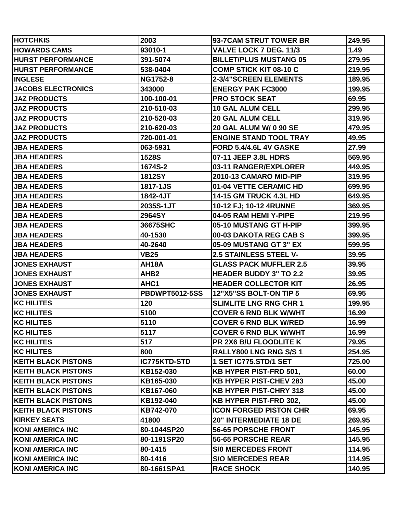| <b>HOTCHKIS</b>             | 2003                  | 93-7CAM STRUT TOWER BR        | 249.95 |
|-----------------------------|-----------------------|-------------------------------|--------|
| <b>HOWARDS CAMS</b>         | 93010-1               | VALVE LOCK 7 DEG. 11/3        | 1.49   |
| <b>HURST PERFORMANCE</b>    | 391-5074              | <b>BILLET/PLUS MUSTANG 05</b> | 279.95 |
| <b>HURST PERFORMANCE</b>    | 538-0404              | <b>COMP STICK KIT 08-10 C</b> | 219.95 |
| <b>INGLESE</b>              | <b>NG1752-8</b>       | 2-3/4"SCREEN ELEMENTS         | 189.95 |
| <b>JACOBS ELECTRONICS</b>   | 343000                | <b>ENERGY PAK FC3000</b>      | 199.95 |
| <b>JAZ PRODUCTS</b>         | 100-100-01            | <b>PRO STOCK SEAT</b>         | 69.95  |
| <b>JAZ PRODUCTS</b>         | 210-510-03            | <b>10 GAL ALUM CELL</b>       | 299.95 |
| <b>JAZ PRODUCTS</b>         | 210-520-03            | <b>20 GAL ALUM CELL</b>       | 319.95 |
| <b>JAZ PRODUCTS</b>         | 210-620-03            | <b>20 GAL ALUM W/ 0 90 SE</b> | 479.95 |
| <b>JAZ PRODUCTS</b>         | 720-001-01            | <b>ENGINE STAND TOOL TRAY</b> | 49.95  |
| <b>JBA HEADERS</b>          | 063-5931              | <b>FORD 5.4/4.6L 4V GASKE</b> | 27.99  |
| <b> JBA HEADERS</b>         | <b>1528S</b>          | 07-11 JEEP 3.8L HDRS          | 569.95 |
| <b>JBA HEADERS</b>          | 1674S-2               | 03-11 RANGER/EXPLORER         | 449.95 |
| <b>JBA HEADERS</b>          | <b>1812SY</b>         | 2010-13 CAMARO MID-PIP        | 319.95 |
| <b>JBA HEADERS</b>          | 1817-1JS              | 01-04 VETTE CERAMIC HD        | 699.95 |
| <b>JBA HEADERS</b>          | 1842-4JT              | <b>14-15 GM TRUCK 4.3L HD</b> | 649.95 |
| <b>JBA HEADERS</b>          | 2035S-1JT             | 10-12 FJ; 10-12 4RUNNE        | 369.95 |
| <b>JBA HEADERS</b>          | 2964SY                | 04-05 RAM HEMI Y-PIPE         | 219.95 |
| <b>JBA HEADERS</b>          | 36675SHC              | 05-10 MUSTANG GT H-PIP        | 399.95 |
| <b>JBA HEADERS</b>          | 40-1530               | 00-03 DAKOTA REG CAB S        | 399.95 |
| <b>JBA HEADERS</b>          | 40-2640               | 05-09 MUSTANG GT 3" EX        | 599.95 |
| <b>JBA HEADERS</b>          | <b>VB25</b>           | <b>2.5 STAINLESS STEEL V-</b> | 39.95  |
| <b>JONES EXHAUST</b>        | AH18A                 | <b>GLASS PACK MUFFLER 2.5</b> | 39.95  |
| <b>JONES EXHAUST</b>        | AHB <sub>2</sub>      | <b>HEADER BUDDY 3" TO 2.2</b> | 39.95  |
| <b>JONES EXHAUST</b>        | AHC1                  | <b>HEADER COLLECTOR KIT</b>   | 26.95  |
| <b>JONES EXHAUST</b>        | <b>PBDWPT5012-5SS</b> | 12"X5"SS BOLT-ON TIP 5        | 69.95  |
| <b>IKC HILITES</b>          | 120                   | <b>SLIMLITE LNG RNG CHR 1</b> | 199.95 |
| <b>KC HILITES</b>           | 5100                  | <b>COVER 6 RND BLK W/WHT</b>  | 16.99  |
| <b>IKC HILITES</b>          | 5110                  | <b>COVER 6 RND BLK W/RED</b>  | 16.99  |
| <b>KC HILITES</b>           | 5117                  | <b>COVER 6 RND BLK W/WHT</b>  | 16.99  |
| <b>KC HILITES</b>           | 517                   | PR 2X6 B/U FLOODLITE K        | 79.95  |
| <b>KC HILITES</b>           | 800                   | <b>RALLY800 LNG RNG S/S 1</b> | 254.95 |
| <b>IKEITH BLACK PISTONS</b> | IC775KTD-STD          | 1 SET IC775.STD/1 SET         | 725.00 |
| <b>KEITH BLACK PISTONS</b>  | KB152-030             | <b>KB HYPER PIST-FRD 501,</b> | 60.00  |
| <b>KEITH BLACK PISTONS</b>  | KB165-030             | <b>KB HYPER PIST-CHEV 283</b> | 45.00  |
| <b>KEITH BLACK PISTONS</b>  | KB167-060             | <b>KB HYPER PIST-CHRY 318</b> | 45.00  |
| <b>KEITH BLACK PISTONS</b>  | KB192-040             | <b>KB HYPER PIST-FRD 302.</b> | 45.00  |
| <b>IKEITH BLACK PISTONS</b> | KB742-070             | <b>ICON FORGED PISTON CHR</b> | 69.95  |
| <b>KIRKEY SEATS</b>         | 41800                 | <b>20" INTERMEDIATE 18 DE</b> | 269.95 |
| KONI AMERICA INC            | 80-1044SP20           | <b>56-65 PORSCHE FRONT</b>    | 145.95 |
| KONI AMERICA INC            | 80-1191SP20           | 56-65 PORSCHE REAR            | 145.95 |
| KONI AMERICA INC            | 80-1415               | <b>S/0 MERCEDES FRONT</b>     | 114.95 |
| KONI AMERICA INC            | 80-1416               | <b>S/O MERCEDES REAR</b>      | 114.95 |
| <b>KONI AMERICA INC</b>     | 80-1661SPA1           | <b>RACE SHOCK</b>             | 140.95 |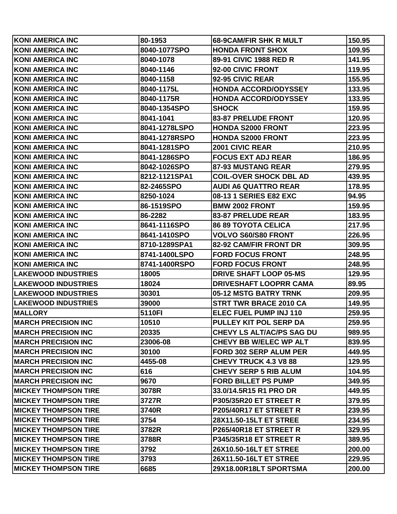| KONI AMERICA INC             | 80-1953       | <b>68-9CAM/FIR SHK R MULT</b>    | 150.95 |
|------------------------------|---------------|----------------------------------|--------|
| KONI AMERICA INC             | 8040-1077SPO  | <b>HONDA FRONT SHOX</b>          | 109.95 |
| KONI AMERICA INC             | 8040-1078     | 89-91 CIVIC 1988 RED R           | 141.95 |
| <b>IKONI AMERICA INC</b>     | 8040-1146     | 92-00 CIVIC FRONT                | 119.95 |
| IKONI AMERICA INC            | 8040-1158     | 92-95 CIVIC REAR                 | 155.95 |
| KONI AMERICA INC             | 8040-1175L    | <b>HONDA ACCORD/ODYSSEY</b>      | 133.95 |
| KONI AMERICA INC             | 8040-1175R    | <b>HONDA ACCORD/ODYSSEY</b>      | 133.95 |
| KONI AMERICA INC             | 8040-1354SPO  | <b>SHOCK</b>                     | 159.95 |
| KONI AMERICA INC             | 8041-1041     | <b>83-87 PRELUDE FRONT</b>       | 120.95 |
| KONI AMERICA INC             | 8041-1278LSPO | <b>HONDA S2000 FRONT</b>         | 223.95 |
| KONI AMERICA INC             | 8041-1278RSPO | <b>HONDA S2000 FRONT</b>         | 223.95 |
| KONI AMERICA INC             | 8041-1281SPO  | <b>2001 CIVIC REAR</b>           | 210.95 |
| KONI AMERICA INC             | 8041-1286SPO  | <b>FOCUS EXT ADJ REAR</b>        | 186.95 |
| KONI AMERICA INC             | 8042-1026SPO  | 87-93 MUSTANG REAR               | 279.95 |
| <b>IKONI AMERICA INC</b>     | 8212-1121SPA1 | <b>COIL-OVER SHOCK DBL AD</b>    | 439.95 |
| KONI AMERICA INC             | 82-2465SPO    | <b>AUDI A6 QUATTRO REAR</b>      | 178.95 |
| KONI AMERICA INC             | 8250-1024     | 08-13 1 SERIES E82 EXC           | 94.95  |
| KONI AMERICA INC             | 86-1519SPO    | <b>BMW 2002 FRONT</b>            | 159.95 |
| KONI AMERICA INC             | 86-2282       | 83-87 PRELUDE REAR               | 183.95 |
| KONI AMERICA INC             | 8641-1116SPO  | <b>86 89 TOYOTA CELICA</b>       | 217.95 |
| KONI AMERICA INC             | 8641-1410SPO  | <b>VOLVO S60/S80 FRONT</b>       | 226.95 |
| KONI AMERICA INC             | 8710-1289SPA1 | 82-92 CAM/FIR FRONT DR           | 309.95 |
| KONI AMERICA INC             | 8741-1400LSPO | <b>FORD FOCUS FRONT</b>          | 248.95 |
| KONI AMERICA INC             | 8741-1400RSPO | <b>FORD FOCUS FRONT</b>          | 248.95 |
| <b>LAKEWOOD INDUSTRIES</b>   | 18005         | <b>DRIVE SHAFT LOOP 05-MS</b>    | 129.95 |
| <b>LAKEWOOD INDUSTRIES</b>   | 18024         | <b>DRIVESHAFT LOOPRR CAMA</b>    | 89.95  |
| <b>LAKEWOOD INDUSTRIES</b>   | 30301         | 05-12 MSTG BATRY TRNK            | 209.95 |
| <b>LAKEWOOD INDUSTRIES</b>   | 39000         | <b>STRT TWR BRACE 2010 CA</b>    | 149.95 |
| <b>MALLORY</b>               | 5110FI        | <b>ELEC FUEL PUMP INJ 110</b>    | 259.95 |
| <b>MARCH PRECISION INC</b>   | 10510         | <b>PULLEY KIT POL SERP DA</b>    | 259.95 |
| <b>IMARCH PRECISION INC</b>  | 20335         | <b>CHEVY LS ALT/AC/PS SAG DU</b> | 989.95 |
| <b>IMARCH PRECISION INC</b>  | 23006-08      | CHEVY BB W/ELEC WP ALT           | 839.95 |
| <b>IMARCH PRECISION INC</b>  | 30100         | <b>FORD 302 SERP ALUM PER</b>    | 449.95 |
| <b>IMARCH PRECISION INC</b>  | 4455-08       | <b>CHEVY TRUCK 4.3 V8 88</b>     | 129.95 |
| <b>IMARCH PRECISION INC</b>  | 616           | <b>CHEVY SERP 5 RIB ALUM</b>     | 104.95 |
| <b>IMARCH PRECISION INC</b>  | 9670          | <b>FORD BILLET PS PUMP</b>       | 349.95 |
| IMICKEY THOMPSON TIRE        | 3078R         | 33.0/14.5R15 R1 PRO DR           | 449.95 |
| <b>IMICKEY THOMPSON TIRE</b> | 3727R         | P305/35R20 ET STREET R           | 379.95 |
| <b>IMICKEY THOMPSON TIRE</b> | 3740R         | P205/40R17 ET STREET R           | 239.95 |
| <b>IMICKEY THOMPSON TIRE</b> | 3754          | 28X11.50-15LT ET STREE           | 234.95 |
| IMICKEY THOMPSON TIRE        | 3782R         | P265/40R18 ET STREET R           | 329.95 |
| <b>IMICKEY THOMPSON TIRE</b> | 3788R         | P345/35R18 ET STREET R           | 389.95 |
| <b>IMICKEY THOMPSON TIRE</b> | 3792          | 26X10.50-16LT ET STREE           | 200.00 |
| <b>IMICKEY THOMPSON TIRE</b> | 3793          | 26X11.50-16LT ET STREE           | 229.95 |
| <b>IMICKEY THOMPSON TIRE</b> | 6685          | 29X18.00R18LT SPORTSMA           | 200.00 |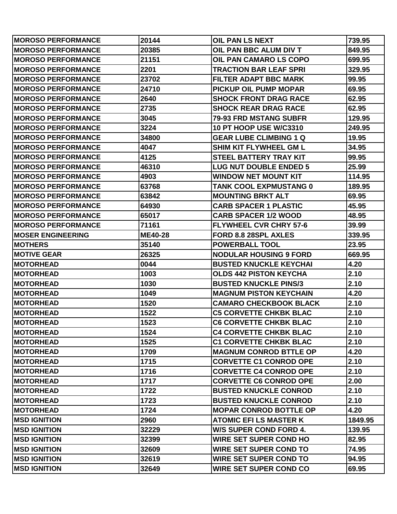| <b>MOROSO PERFORMANCE</b> | 20144          | <b>OIL PAN LS NEXT</b>        | 739.95  |
|---------------------------|----------------|-------------------------------|---------|
| <b>MOROSO PERFORMANCE</b> | 20385          | OIL PAN BBC ALUM DIV T        | 849.95  |
| <b>MOROSO PERFORMANCE</b> | 21151          | OIL PAN CAMARO LS COPO        | 699.95  |
| <b>MOROSO PERFORMANCE</b> | 2201           | <b>TRACTION BAR LEAF SPRI</b> | 329.95  |
| <b>MOROSO PERFORMANCE</b> | 23702          | <b>FILTER ADAPT BBC MARK</b>  | 99.95   |
| <b>MOROSO PERFORMANCE</b> | 24710          | <b>PICKUP OIL PUMP MOPAR</b>  | 69.95   |
| <b>MOROSO PERFORMANCE</b> | 2640           | <b>SHOCK FRONT DRAG RACE</b>  | 62.95   |
| <b>MOROSO PERFORMANCE</b> | 2735           | <b>SHOCK REAR DRAG RACE</b>   | 62.95   |
| <b>MOROSO PERFORMANCE</b> | 3045           | <b>79-93 FRD MSTANG SUBFR</b> | 129.95  |
| <b>MOROSO PERFORMANCE</b> | 3224           | <b>10 PT HOOP USE W/C3310</b> | 249.95  |
| <b>MOROSO PERFORMANCE</b> | 34800          | <b>GEAR LUBE CLIMBING 1 Q</b> | 19.95   |
| <b>MOROSO PERFORMANCE</b> | 4047           | <b>SHIM KIT FLYWHEEL GM L</b> | 34.95   |
| <b>MOROSO PERFORMANCE</b> | 4125           | <b>STEEL BATTERY TRAY KIT</b> | 99.95   |
| <b>MOROSO PERFORMANCE</b> | 46310          | <b>LUG NUT DOUBLE ENDED 5</b> | 25.99   |
| <b>MOROSO PERFORMANCE</b> | 4903           | <b>WINDOW NET MOUNT KIT</b>   | 114.95  |
| <b>MOROSO PERFORMANCE</b> | 63768          | <b>TANK COOL EXPMUSTANG 0</b> | 189.95  |
| <b>MOROSO PERFORMANCE</b> | 63842          | <b>MOUNTING BRKT ALT</b>      | 69.95   |
| <b>MOROSO PERFORMANCE</b> | 64930          | <b>CARB SPACER 1 PLASTIC</b>  | 45.95   |
| <b>MOROSO PERFORMANCE</b> | 65017          | <b>CARB SPACER 1/2 WOOD</b>   | 48.95   |
| <b>MOROSO PERFORMANCE</b> | 71161          | <b>FLYWHEEL CVR CHRY 57-6</b> | 39.99   |
| <b>MOSER ENGINEERING</b>  | <b>ME40-28</b> | FORD 8.8 28SPL AXLES          | 339.95  |
| <b>MOTHERS</b>            | 35140          | <b>POWERBALL TOOL</b>         | 23.95   |
| <b>MOTIVE GEAR</b>        | 26325          | <b>NODULAR HOUSING 9 FORD</b> | 669.95  |
| <b>IMOTORHEAD</b>         | 0044           | <b>BUSTED KNUCKLE KEYCHAI</b> | 4.20    |
| <b>MOTORHEAD</b>          | 1003           | <b>OLDS 442 PISTON KEYCHA</b> | 2.10    |
| <b>MOTORHEAD</b>          | 1030           | <b>BUSTED KNUCKLE PINS/3</b>  | 2.10    |
| <b>MOTORHEAD</b>          | 1049           | <b>MAGNUM PISTON KEYCHAIN</b> | 4.20    |
| <b>MOTORHEAD</b>          | 1520           | <b>CAMARO CHECKBOOK BLACK</b> | 2.10    |
| <b>MOTORHEAD</b>          | 1522           | <b>C5 CORVETTE CHKBK BLAC</b> | 2.10    |
| <b>IMOTORHEAD</b>         | 1523           | <b>C6 CORVETTE CHKBK BLAC</b> | 2.10    |
| <b>MOTORHEAD</b>          | 1524           | <b>C4 CORVETTE CHKBK BLAC</b> | 2.10    |
| <b>MOTORHEAD</b>          | 1525           | <b>C1 CORVETTE CHKBK BLAC</b> | 2.10    |
| <b>MOTORHEAD</b>          | 1709           | <b>MAGNUM CONROD BTTLE OP</b> | 4.20    |
| <b>MOTORHEAD</b>          | 1715           | <b>CORVETTE C1 CONROD OPE</b> | 2.10    |
| <b>MOTORHEAD</b>          | 1716           | <b>CORVETTE C4 CONROD OPE</b> | 2.10    |
| <b>MOTORHEAD</b>          | 1717           | <b>CORVETTE C6 CONROD OPE</b> | 2.00    |
| <b>MOTORHEAD</b>          | 1722           | <b>BUSTED KNUCKLE CONROD</b>  | 2.10    |
| <b>MOTORHEAD</b>          | 1723           | <b>BUSTED KNUCKLE CONROD</b>  | 2.10    |
| <b>MOTORHEAD</b>          | 1724           | <b>MOPAR CONROD BOTTLE OP</b> | 4.20    |
| <b>MSD IGNITION</b>       | 2960           | <b>ATOMIC EFILS MASTER K</b>  | 1849.95 |
| <b>MSD IGNITION</b>       | 32229          | <b>W/S SUPER COND FORD 4.</b> | 139.95  |
| <b>MSD IGNITION</b>       | 32399          | <b>WIRE SET SUPER COND HO</b> | 82.95   |
| <b>MSD IGNITION</b>       | 32609          | <b>WIRE SET SUPER COND TO</b> | 74.95   |
| <b>MSD IGNITION</b>       | 32619          | <b>WIRE SET SUPER COND TO</b> | 94.95   |
| <b>MSD IGNITION</b>       | 32649          | <b>WIRE SET SUPER COND CO</b> | 69.95   |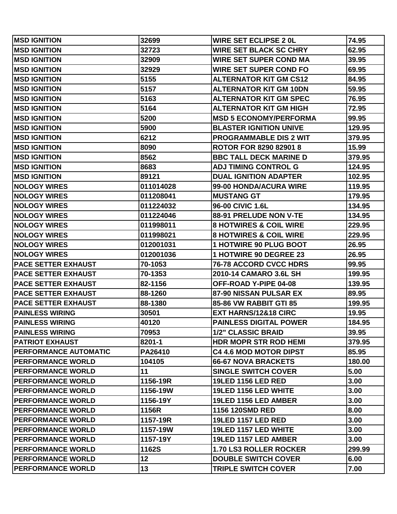| <b>MSD IGNITION</b>        | 32699          | <b>WIRE SET ECLIPSE 2 0L</b>      | 74.95  |
|----------------------------|----------------|-----------------------------------|--------|
| <b>MSD IGNITION</b>        | 32723          | <b>WIRE SET BLACK SC CHRY</b>     | 62.95  |
| <b>MSD IGNITION</b>        | 32909          | <b>WIRE SET SUPER COND MA</b>     | 39.95  |
| <b>MSD IGNITION</b>        | 32929          | <b>WIRE SET SUPER COND FO</b>     | 69.95  |
| <b>MSD IGNITION</b>        | 5155           | <b>ALTERNATOR KIT GM CS12</b>     | 84.95  |
| <b>MSD IGNITION</b>        | 5157           | <b>ALTERNATOR KIT GM 10DN</b>     | 59.95  |
| <b>MSD IGNITION</b>        | 5163           | <b>ALTERNATOR KIT GM SPEC</b>     | 76.95  |
| <b>MSD IGNITION</b>        | 5164           | <b>ALTERNATOR KIT GM HIGH</b>     | 72.95  |
| <b>MSD IGNITION</b>        | 5200           | <b>MSD 5 ECONOMY/PERFORMA</b>     | 99.95  |
| <b>MSD IGNITION</b>        | 5900           | <b>BLASTER IGNITION UNIVE</b>     | 129.95 |
| <b>MSD IGNITION</b>        | 6212           | <b>PROGRAMMABLE DIS 2 WIT</b>     | 379.95 |
| <b>MSD IGNITION</b>        | 8090           | <b>ROTOR FOR 8290 82901 8</b>     | 15.99  |
| <b>MSD IGNITION</b>        | 8562           | <b>BBC TALL DECK MARINE D</b>     | 379.95 |
| <b>MSD IGNITION</b>        | 8683           | <b>ADJ TIMING CONTROL G</b>       | 124.95 |
| <b>MSD IGNITION</b>        | 89121          | <b>DUAL IGNITION ADAPTER</b>      | 102.95 |
| <b>NOLOGY WIRES</b>        | 011014028      | 99-00 HONDA/ACURA WIRE            | 119.95 |
| <b>NOLOGY WIRES</b>        | 011208041      | <b>MUSTANG GT</b>                 | 179.95 |
| <b>NOLOGY WIRES</b>        | 011224032      | 96-00 CIVIC 1.6L                  | 134.95 |
| <b>NOLOGY WIRES</b>        | 011224046      | 88-91 PRELUDE NON V-TE            | 134.95 |
| <b>NOLOGY WIRES</b>        | 011998011      | <b>8 HOTWIRES &amp; COIL WIRE</b> | 229.95 |
| <b>NOLOGY WIRES</b>        | 011998021      | <b>8 HOTWIRES &amp; COIL WIRE</b> | 229.95 |
| <b>NOLOGY WIRES</b>        | 012001031      | <b>1 HOTWIRE 90 PLUG BOOT</b>     | 26.95  |
| <b>NOLOGY WIRES</b>        | 012001036      | <b>1 HOTWIRE 90 DEGREE 23</b>     | 26.95  |
| <b>PACE SETTER EXHAUST</b> | 70-1053        | <b>76-78 ACCORD CVCC HDRS</b>     | 99.95  |
| <b>PACE SETTER EXHAUST</b> | 70-1353        | 2010-14 CAMARO 3.6L SH            | 199.95 |
| <b>PACE SETTER EXHAUST</b> | 82-1156        | OFF-ROAD Y-PIPE 04-08             | 139.95 |
| <b>PACE SETTER EXHAUST</b> | 88-1260        | 87-90 NISSAN PULSAR EX            | 89.95  |
| <b>PACE SETTER EXHAUST</b> | 88-1380        | 85-86 VW RABBIT GTI 85            | 199.95 |
| <b>PAINLESS WIRING</b>     | 30501          | EXT HARNS/12&18 CIRC              | 19.95  |
| <b>PAINLESS WIRING</b>     | 40120          | <b>PAINLESS DIGITAL POWER</b>     | 184.95 |
| <b>PAINLESS WIRING</b>     | 70953          | <b>1/2" CLASSIC BRAID</b>         | 39.95  |
| <b>PATRIOT EXHAUST</b>     | 8201-1         | <b>HDR MOPR STR ROD HEMI</b>      | 379.95 |
| PERFORMANCE AUTOMATIC      | <b>PA26410</b> | <b>C4 4.6 MOD MOTOR DIPST</b>     | 85.95  |
| <b>PERFORMANCE WORLD</b>   | 104105         | <b>66-67 NOVA BRACKETS</b>        | 180.00 |
| <b>PERFORMANCE WORLD</b>   | 11             | <b>SINGLE SWITCH COVER</b>        | 5.00   |
| <b>PERFORMANCE WORLD</b>   | 1156-19R       | <b>19LED 1156 LED RED</b>         | 3.00   |
| <b>PERFORMANCE WORLD</b>   | 1156-19W       | 19LED 1156 LED WHITE              | 3.00   |
| <b>PERFORMANCE WORLD</b>   | 1156-19Y       | 19LED 1156 LED AMBER              | 3.00   |
| <b>PERFORMANCE WORLD</b>   | 1156R          | 1156 120SMD RED                   | 8.00   |
| <b>PERFORMANCE WORLD</b>   | 1157-19R       | <b>19LED 1157 LED RED</b>         | 3.00   |
| <b>PERFORMANCE WORLD</b>   | 1157-19W       | 19LED 1157 LED WHITE              | 3.00   |
| <b>PERFORMANCE WORLD</b>   | 1157-19Y       | 19LED 1157 LED AMBER              | 3.00   |
| <b>PERFORMANCE WORLD</b>   | 1162S          | <b>1.70 LS3 ROLLER ROCKER</b>     | 299.99 |
| <b>PERFORMANCE WORLD</b>   | 12             | <b>DOUBLE SWITCH COVER</b>        | 6.00   |
| <b>PERFORMANCE WORLD</b>   | 13             | <b>TRIPLE SWITCH COVER</b>        | 7.00   |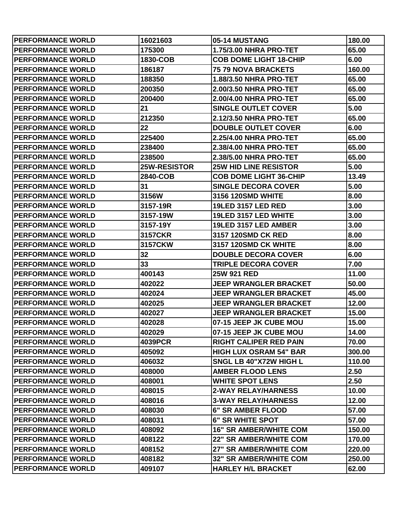| <b>PERFORMANCE WORLD</b> | 16021603            | 05-14 MUSTANG                 | 180.00 |
|--------------------------|---------------------|-------------------------------|--------|
| <b>PERFORMANCE WORLD</b> | 175300              | <b>1.75/3.00 NHRA PRO-TET</b> | 65.00  |
| <b>PERFORMANCE WORLD</b> | 1830-COB            | <b>COB DOME LIGHT 18-CHIP</b> | 6.00   |
| <b>PERFORMANCE WORLD</b> | 186187              | <b>75 79 NOVA BRACKETS</b>    | 160.00 |
| <b>PERFORMANCE WORLD</b> | 188350              | <b>1.88/3.50 NHRA PRO-TET</b> | 65.00  |
| <b>PERFORMANCE WORLD</b> | 200350              | 2.00/3.50 NHRA PRO-TET        | 65.00  |
| <b>PERFORMANCE WORLD</b> | 200400              | 2.00/4.00 NHRA PRO-TET        | 65.00  |
| <b>PERFORMANCE WORLD</b> | 21                  | <b>SINGLE OUTLET COVER</b>    | 5.00   |
| <b>PERFORMANCE WORLD</b> | 212350              | 2.12/3.50 NHRA PRO-TET        | 65.00  |
| <b>PERFORMANCE WORLD</b> | 22                  | <b>DOUBLE OUTLET COVER</b>    | 6.00   |
| <b>PERFORMANCE WORLD</b> | 225400              | 2.25/4.00 NHRA PRO-TET        | 65.00  |
| <b>PERFORMANCE WORLD</b> | 238400              | 2.38/4.00 NHRA PRO-TET        | 65.00  |
| <b>PERFORMANCE WORLD</b> | 238500              | 2.38/5.00 NHRA PRO-TET        | 65.00  |
| <b>PERFORMANCE WORLD</b> | <b>25W-RESISTOR</b> | <b>25W HID LINE RESISTOR</b>  | 5.00   |
| <b>PERFORMANCE WORLD</b> | 2840-COB            | <b>COB DOME LIGHT 36-CHIP</b> | 13.49  |
| <b>PERFORMANCE WORLD</b> | 31                  | <b>SINGLE DECORA COVER</b>    | 5.00   |
| <b>PERFORMANCE WORLD</b> | 3156W               | 3156 120SMD WHITE             | 8.00   |
| <b>PERFORMANCE WORLD</b> | 3157-19R            | <b>19LED 3157 LED RED</b>     | 3.00   |
| <b>PERFORMANCE WORLD</b> | 3157-19W            | 19LED 3157 LED WHITE          | 3.00   |
| <b>PERFORMANCE WORLD</b> | 3157-19Y            | 19LED 3157 LED AMBER          | 3.00   |
| <b>PERFORMANCE WORLD</b> | <b>3157CKR</b>      | 3157 120SMD CK RED            | 8.00   |
| <b>PERFORMANCE WORLD</b> | 3157CKW             | 3157 120SMD CK WHITE          | 8.00   |
| <b>PERFORMANCE WORLD</b> | 32                  | <b>DOUBLE DECORA COVER</b>    | 6.00   |
| <b>PERFORMANCE WORLD</b> | 33                  | <b>TRIPLE DECORA COVER</b>    | 7.00   |
| <b>PERFORMANCE WORLD</b> | 400143              | 25W 921 RED                   | 11.00  |
| <b>PERFORMANCE WORLD</b> | 402022              | <b>JEEP WRANGLER BRACKET</b>  | 50.00  |
| <b>PERFORMANCE WORLD</b> | 402024              | <b>JEEP WRANGLER BRACKET</b>  | 45.00  |
| <b>PERFORMANCE WORLD</b> | 402025              | <b>JEEP WRANGLER BRACKET</b>  | 12.00  |
| <b>PERFORMANCE WORLD</b> | 402027              | <b>JEEP WRANGLER BRACKET</b>  | 15.00  |
| <b>PERFORMANCE WORLD</b> | 402028              | 07-15 JEEP JK CUBE MOU        | 15.00  |
| <b>PERFORMANCE WORLD</b> | 402029              | 07-15 JEEP JK CUBE MOU        | 14.00  |
| <b>PERFORMANCE WORLD</b> | 4039PCR             | <b>RIGHT CALIPER RED PAIN</b> | 70.00  |
| <b>PERFORMANCE WORLD</b> | 405092              | <b>HIGH LUX OSRAM 54" BAR</b> | 300.00 |
| <b>PERFORMANCE WORLD</b> | 406032              | SNGL LB 40"X72W HIGH L        | 110.00 |
| <b>PERFORMANCE WORLD</b> | 408000              | <b>AMBER FLOOD LENS</b>       | 2.50   |
| <b>PERFORMANCE WORLD</b> | 408001              | <b>WHITE SPOT LENS</b>        | 2.50   |
| <b>PERFORMANCE WORLD</b> | 408015              | <b>2-WAY RELAY/HARNESS</b>    | 10.00  |
| <b>PERFORMANCE WORLD</b> | 408016              | <b>3-WAY RELAY/HARNESS</b>    | 12.00  |
| <b>PERFORMANCE WORLD</b> | 408030              | 6" SR AMBER FLOOD             | 57.00  |
| <b>PERFORMANCE WORLD</b> | 408031              | 6" SR WHITE SPOT              | 57.00  |
| <b>PERFORMANCE WORLD</b> | 408092              | <b>16" SR AMBER/WHITE COM</b> | 150.00 |
| <b>PERFORMANCE WORLD</b> | 408122              | <b>22" SR AMBER/WHITE COM</b> | 170.00 |
| <b>PERFORMANCE WORLD</b> | 408152              | <b>27" SR AMBER/WHITE COM</b> | 220.00 |
| <b>PERFORMANCE WORLD</b> | 408182              | <b>32" SR AMBER/WHITE COM</b> | 250.00 |
| <b>PERFORMANCE WORLD</b> | 409107              | <b>HARLEY H/L BRACKET</b>     | 62.00  |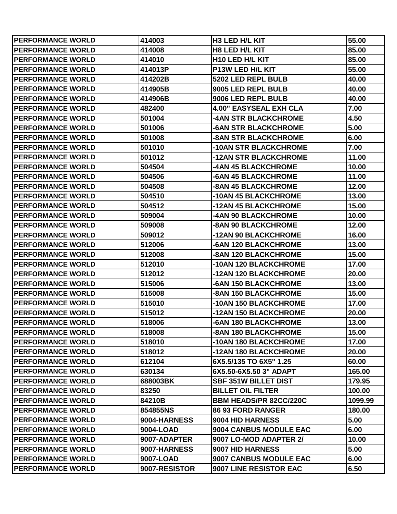| <b>PERFORMANCE WORLD</b> | 414003        | H <sub>3</sub> LED H <sub>/L</sub> KIT | 55.00   |
|--------------------------|---------------|----------------------------------------|---------|
| <b>PERFORMANCE WORLD</b> | 414008        | <b>H8 LED H/L KIT</b>                  | 85.00   |
| <b>PERFORMANCE WORLD</b> | 414010        | <b>H10 LED H/L KIT</b>                 | 85.00   |
| <b>PERFORMANCE WORLD</b> | 414013P       | P13W LED H/L KIT                       | 55.00   |
| <b>PERFORMANCE WORLD</b> | 414202B       | 5202 LED REPL BULB                     | 40.00   |
| <b>PERFORMANCE WORLD</b> | 414905B       | 9005 LED REPL BULB                     | 40.00   |
| <b>PERFORMANCE WORLD</b> | 414906B       | 9006 LED REPL BULB                     | 40.00   |
| <b>PERFORMANCE WORLD</b> | 482400        | <b>4.00" EASYSEAL EXH CLA</b>          | 7.00    |
| <b>PERFORMANCE WORLD</b> | 501004        | <b>-4AN STR BLACKCHROME</b>            | 4.50    |
| <b>PERFORMANCE WORLD</b> | 501006        | -6AN STR BLACKCHROME                   | 5.00    |
| <b>PERFORMANCE WORLD</b> | 501008        | <b>-8AN STR BLACKCHROME</b>            | 6.00    |
| <b>PERFORMANCE WORLD</b> | 501010        | -10AN STR BLACKCHROME                  | 7.00    |
| <b>PERFORMANCE WORLD</b> | 501012        | -12AN STR BLACKCHROME                  | 11.00   |
| <b>PERFORMANCE WORLD</b> | 504504        | -4AN 45 BLACKCHROME                    | 10.00   |
| <b>PERFORMANCE WORLD</b> | 504506        | <b>-6AN 45 BLACKCHROME</b>             | 11.00   |
| <b>PERFORMANCE WORLD</b> | 504508        | -8AN 45 BLACKCHROME                    | 12.00   |
| <b>PERFORMANCE WORLD</b> | 504510        | -10AN 45 BLACKCHROME                   | 13.00   |
| <b>PERFORMANCE WORLD</b> | 504512        | -12AN 45 BLACKCHROME                   | 15.00   |
| <b>PERFORMANCE WORLD</b> | 509004        | -4AN 90 BLACKCHROME                    | 10.00   |
| <b>PERFORMANCE WORLD</b> | 509008        | -8AN 90 BLACKCHROME                    | 12.00   |
| <b>PERFORMANCE WORLD</b> | 509012        | -12AN 90 BLACKCHROME                   | 16.00   |
| <b>PERFORMANCE WORLD</b> | 512006        | -6AN 120 BLACKCHROME                   | 13.00   |
| <b>PERFORMANCE WORLD</b> | 512008        | -8AN 120 BLACKCHROME                   | 15.00   |
| <b>PERFORMANCE WORLD</b> | 512010        | -10AN 120 BLACKCHROME                  | 17.00   |
| <b>PERFORMANCE WORLD</b> | 512012        | -12AN 120 BLACKCHROME                  | 20.00   |
| <b>PERFORMANCE WORLD</b> | 515006        | -6AN 150 BLACKCHROME                   | 13.00   |
| <b>PERFORMANCE WORLD</b> | 515008        | -8AN 150 BLACKCHROME                   | 15.00   |
| <b>PERFORMANCE WORLD</b> | 515010        | -10AN 150 BLACKCHROME                  | 17.00   |
| <b>PERFORMANCE WORLD</b> | 515012        | -12AN 150 BLACKCHROME                  | 20.00   |
| <b>PERFORMANCE WORLD</b> | 518006        | -6AN 180 BLACKCHROME                   | 13.00   |
| <b>PERFORMANCE WORLD</b> | 518008        | -8AN 180 BLACKCHROME                   | 15.00   |
| <b>PERFORMANCE WORLD</b> | 518010        | -10AN 180 BLACKCHROME                  | 17.00   |
| <b>PERFORMANCE WORLD</b> | 518012        | -12AN 180 BLACKCHROME                  | 20.00   |
| <b>PERFORMANCE WORLD</b> | 612104        | 6X5.5/135 TO 6X5" 1.25                 | 60.00   |
| <b>PERFORMANCE WORLD</b> | 630134        | 6X5.50-6X5.50 3" ADAPT                 | 165.00  |
| <b>PERFORMANCE WORLD</b> | 688003BK      | <b>SBF 351W BILLET DIST</b>            | 179.95  |
| <b>PERFORMANCE WORLD</b> | 83250         | <b>BILLET OIL FILTER</b>               | 100.00  |
| <b>PERFORMANCE WORLD</b> | 84210B        | <b>BBM HEADS/PR 82CC/220C</b>          | 1099.99 |
| <b>PERFORMANCE WORLD</b> | 854855NS      | <b>86 93 FORD RANGER</b>               | 180.00  |
| <b>PERFORMANCE WORLD</b> | 9004-HARNESS  | 9004 HID HARNESS                       | 5.00    |
| <b>PERFORMANCE WORLD</b> | 9004-LOAD     | 9004 CANBUS MODULE EAC                 | 6.00    |
| <b>PERFORMANCE WORLD</b> | 9007-ADAPTER  | 9007 LO-MOD ADAPTER 2/                 | 10.00   |
| <b>PERFORMANCE WORLD</b> | 9007-HARNESS  | 9007 HID HARNESS                       | 5.00    |
| <b>PERFORMANCE WORLD</b> | 9007-LOAD     | 9007 CANBUS MODULE EAC                 | 6.00    |
| <b>PERFORMANCE WORLD</b> | 9007-RESISTOR | 9007 LINE RESISTOR EAC                 | 6.50    |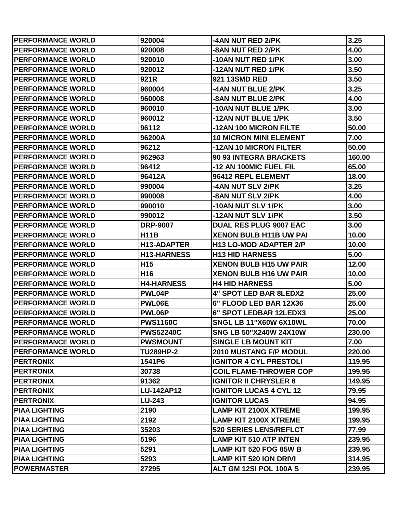| <b>PERFORMANCE WORLD</b> | 920004             | -4AN NUT RED 2/PK             | 3.25   |
|--------------------------|--------------------|-------------------------------|--------|
| <b>PERFORMANCE WORLD</b> | 920008             | -8AN NUT RED 2/PK             | 4.00   |
| <b>PERFORMANCE WORLD</b> | 920010             | -10AN NUT RED 1/PK            | 3.00   |
| <b>PERFORMANCE WORLD</b> | 920012             | -12AN NUT RED 1/PK            | 3.50   |
| <b>PERFORMANCE WORLD</b> | 921R               | 921 13SMD RED                 | 3.50   |
| <b>PERFORMANCE WORLD</b> | 960004             | -4AN NUT BLUE 2/PK            | 3.25   |
| <b>PERFORMANCE WORLD</b> | 960008             | -8AN NUT BLUE 2/PK            | 4.00   |
| <b>PERFORMANCE WORLD</b> | 960010             | -10AN NUT BLUE 1/PK           | 3.00   |
| <b>PERFORMANCE WORLD</b> | 960012             | -12AN NUT BLUE 1/PK           | 3.50   |
| <b>PERFORMANCE WORLD</b> | 96112              | -12AN 100 MICRON FILTE        | 50.00  |
| <b>PERFORMANCE WORLD</b> | 96200A             | <b>10 MICRON MINI ELEMENT</b> | 7.00   |
| <b>PERFORMANCE WORLD</b> | 96212              | -12AN 10 MICRON FILTER        | 50.00  |
| <b>PERFORMANCE WORLD</b> | 962963             | 90 93 INTEGRA BRACKETS        | 160.00 |
| <b>PERFORMANCE WORLD</b> | 96412              | -12 AN 100MIC FUEL FIL        | 65.00  |
| <b>PERFORMANCE WORLD</b> | 96412A             | 96412 REPL ELEMENT            | 18.00  |
| <b>PERFORMANCE WORLD</b> | 990004             | -4AN NUT SLV 2/PK             | 3.25   |
| <b>PERFORMANCE WORLD</b> | 990008             | -8AN NUT SLV 2/PK             | 4.00   |
| <b>PERFORMANCE WORLD</b> | 990010             | -10AN NUT SLV 1/PK            | 3.00   |
| <b>PERFORMANCE WORLD</b> | 990012             | -12AN NUT SLV 1/PK            | 3.50   |
| <b>PERFORMANCE WORLD</b> | <b>DRP-9007</b>    | <b>DUAL RES PLUG 9007 EAC</b> | 3.00   |
| <b>PERFORMANCE WORLD</b> | <b>H11B</b>        | <b>XENON BULB H11B UW PAI</b> | 10.00  |
| <b>PERFORMANCE WORLD</b> | <b>H13-ADAPTER</b> | <b>H13 LO-MOD ADAPTER 2/P</b> | 10.00  |
| <b>PERFORMANCE WORLD</b> | <b>H13-HARNESS</b> | <b>H13 HID HARNESS</b>        | 5.00   |
| <b>PERFORMANCE WORLD</b> | H <sub>15</sub>    | <b>XENON BULB H15 UW PAIR</b> | 12.00  |
| <b>PERFORMANCE WORLD</b> | H <sub>16</sub>    | <b>XENON BULB H16 UW PAIR</b> | 10.00  |
| <b>PERFORMANCE WORLD</b> | <b>H4-HARNESS</b>  | <b>H4 HID HARNESS</b>         | 5.00   |
| <b>PERFORMANCE WORLD</b> | PWL04P             | 4" SPOT LED BAR 8LEDX2        | 25.00  |
| <b>PERFORMANCE WORLD</b> | PWL06E             | 6" FLOOD LED BAR 12X36        | 25.00  |
| <b>PERFORMANCE WORLD</b> | PWL06P             | 6" SPOT LEDBAR 12LEDX3        | 25.00  |
| <b>PERFORMANCE WORLD</b> | <b>PWS1160C</b>    | SNGL LB 11"X60W 6X10WL        | 70.00  |
| <b>PERFORMANCE WORLD</b> | <b>PWS52240C</b>   | <b>SNG LB 50"X240W 24X10W</b> | 230.00 |
| <b>PERFORMANCE WORLD</b> | <b>PWSMOUNT</b>    | <b>SINGLE LB MOUNT KIT</b>    | 7.00   |
| <b>PERFORMANCE WORLD</b> | <b>TU289HP-2</b>   | <b>2010 MUSTANG F/P MODUL</b> | 220.00 |
| <b>PERTRONIX</b>         | 1541P6             | <b>IGNITOR 4 CYL PRESTOLI</b> | 119.95 |
| <b>PERTRONIX</b>         | 30738              | <b>COIL FLAME-THROWER COP</b> | 199.95 |
| <b>PERTRONIX</b>         | 91362              | <b>IGNITOR II CHRYSLER 6</b>  | 149.95 |
| <b>PERTRONIX</b>         | <b>LU-142AP12</b>  | <b>IGNITOR LUCAS 4 CYL 12</b> | 79.95  |
| <b>PERTRONIX</b>         | <b>LU-243</b>      | <b>IGNITOR LUCAS</b>          | 94.95  |
| <b>PIAA LIGHTING</b>     | 2190               | <b>LAMP KIT 2100X XTREME</b>  | 199.95 |
| <b>PIAA LIGHTING</b>     | 2192               | <b>LAMP KIT 2100X XTREME</b>  | 199.95 |
| <b>PIAA LIGHTING</b>     | 35203              | <b>520 SERIES LENS/REFLCT</b> | 77.99  |
| <b>PIAA LIGHTING</b>     | 5196               | <b>LAMP KIT 510 ATP INTEN</b> | 239.95 |
| <b>PIAA LIGHTING</b>     | 5291               | <b>LAMP KIT 520 FOG 85W B</b> | 239.95 |
| <b>PIAA LIGHTING</b>     | 5293               | <b>LAMP KIT 520 ION DRIVI</b> | 314.95 |
| <b>POWERMASTER</b>       | 27295              | ALT GM 12SI POL 100A S        | 239.95 |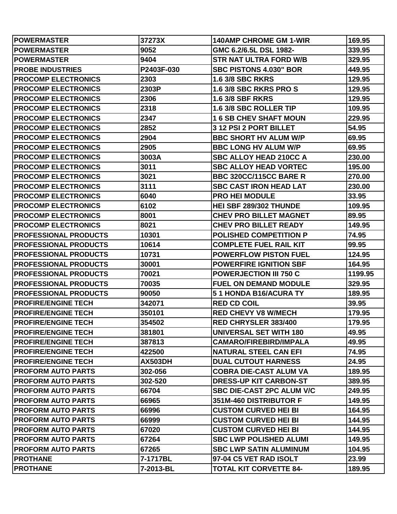| <b>POWERMASTER</b>           | 37273X         | <b>140AMP CHROME GM 1-WIR</b>    | 169.95  |
|------------------------------|----------------|----------------------------------|---------|
| <b> POWERMASTER</b>          | 9052           | GMC 6.2/6.5L DSL 1982-           | 339.95  |
| <b>IPOWERMASTER</b>          | 9404           | <b>STR NAT ULTRA FORD W/B</b>    | 329.95  |
| <b>PROBE INDUSTRIES</b>      | P2403F-030     | <b>SBC PISTONS 4.030" BOR</b>    | 449.95  |
| <b>PROCOMP ELECTRONICS</b>   | 2303           | <b>1.6 3/8 SBC RKRS</b>          | 129.95  |
| <b>PROCOMP ELECTRONICS</b>   | 2303P          | <b>1.6 3/8 SBC RKRS PRO S</b>    | 129.95  |
| <b>PROCOMP ELECTRONICS</b>   | 2306           | <b>1.6 3/8 SBF RKRS</b>          | 129.95  |
| <b>PROCOMP ELECTRONICS</b>   | 2318           | 1.6 3/8 SBC ROLLER TIP           | 109.95  |
| <b>PROCOMP ELECTRONICS</b>   | 2347           | <b>16 SB CHEV SHAFT MOUN</b>     | 229.95  |
| <b>PROCOMP ELECTRONICS</b>   | 2852           | 3 12 PSI 2 PORT BILLET           | 54.95   |
| <b>PROCOMP ELECTRONICS</b>   | 2904           | <b>BBC SHORT HV ALUM W/P</b>     | 69.95   |
| <b>PROCOMP ELECTRONICS</b>   | 2905           | <b>BBC LONG HV ALUM W/P</b>      | 69.95   |
| <b>PROCOMP ELECTRONICS</b>   | 3003A          | <b>SBC ALLOY HEAD 210CC A</b>    | 230.00  |
| <b>PROCOMP ELECTRONICS</b>   | 3011           | <b>SBC ALLOY HEAD VORTEC</b>     | 195.00  |
| <b>PROCOMP ELECTRONICS</b>   | 3021           | <b>BBC 320CC/115CC BARE R</b>    | 270.00  |
| <b>PROCOMP ELECTRONICS</b>   | 3111           | <b>SBC CAST IRON HEAD LAT</b>    | 230.00  |
| <b>PROCOMP ELECTRONICS</b>   | 6040           | <b>PRO HEI MODULE</b>            | 33.95   |
| <b>PROCOMP ELECTRONICS</b>   | 6102           | HEI SBF 289/302 THUNDE           | 109.95  |
| <b>PROCOMP ELECTRONICS</b>   | 8001           | <b>CHEV PRO BILLET MAGNET</b>    | 89.95   |
| <b>PROCOMP ELECTRONICS</b>   | 8021           | <b>CHEV PRO BILLET READY</b>     | 149.95  |
| <b>PROFESSIONAL PRODUCTS</b> | 10301          | <b>POLISHED COMPETITION P</b>    | 74.95   |
| <b>PROFESSIONAL PRODUCTS</b> | 10614          | <b>COMPLETE FUEL RAIL KIT</b>    | 99.95   |
| <b>PROFESSIONAL PRODUCTS</b> | 10731          | <b>POWERFLOW PISTON FUEL</b>     | 124.95  |
| <b>PROFESSIONAL PRODUCTS</b> | 30001          | <b>POWERFIRE IGNITION SBF</b>    | 164.95  |
| <b>PROFESSIONAL PRODUCTS</b> | 70021          | <b>POWERJECTION III 750 C</b>    | 1199.95 |
| <b>PROFESSIONAL PRODUCTS</b> | 70035          | <b>FUEL ON DEMAND MODULE</b>     | 329.95  |
| <b>PROFESSIONAL PRODUCTS</b> | 90050          | 51 HONDA B16/ACURA TY            | 189.95  |
| <b>PROFIRE/ENGINE TECH</b>   | 342071         | <b>RED CD COIL</b>               | 39.95   |
| <b>PROFIRE/ENGINE TECH</b>   | 350101         | <b>RED CHEVY V8 W/MECH</b>       | 179.95  |
| <b>PROFIRE/ENGINE TECH</b>   | 354502         | <b>RED CHRYSLER 383/400</b>      | 179.95  |
| <b>PROFIRE/ENGINE TECH</b>   | 381801         | <b>UNIVERSAL SET WITH 180</b>    | 49.95   |
| <b>PROFIRE/ENGINE TECH</b>   | 387813         | <b>CAMARO/FIREBIRD/IMPALA</b>    | 49.95   |
| <b>PROFIRE/ENGINE TECH</b>   | 422500         | <b>NATURAL STEEL CAN EFI</b>     | 74.95   |
| <b>PROFIRE/ENGINE TECH</b>   | <b>AX503DH</b> | <b>DUAL CUTOUT HARNESS</b>       | 24.95   |
| <b>PROFORM AUTO PARTS</b>    | 302-056        | <b>COBRA DIE-CAST ALUM VA</b>    | 189.95  |
| <b>PROFORM AUTO PARTS</b>    | 302-520        | <b>DRESS-UP KIT CARBON-ST</b>    | 389.95  |
| <b>PROFORM AUTO PARTS</b>    | 66704          | <b>SBC DIE-CAST 2PC ALUM V/C</b> | 249.95  |
| <b>PROFORM AUTO PARTS</b>    | 66965          | 351M-460 DISTRIBUTOR F           | 149.95  |
| <b>PROFORM AUTO PARTS</b>    | 66996          | <b>CUSTOM CURVED HEI BI</b>      | 164.95  |
| <b>PROFORM AUTO PARTS</b>    | 66999          | <b>CUSTOM CURVED HEI BI</b>      | 144.95  |
| <b>PROFORM AUTO PARTS</b>    | 67020          | <b>CUSTOM CURVED HEI BI</b>      | 144.95  |
| <b>PROFORM AUTO PARTS</b>    | 67264          | <b>SBC LWP POLISHED ALUMI</b>    | 149.95  |
| <b>PROFORM AUTO PARTS</b>    | 67265          | <b>SBC LWP SATIN ALUMINUM</b>    | 104.95  |
| <b>PROTHANE</b>              | 7-1717BL       | 97-04 C5 VET RAD ISOLT           | 23.99   |
| <b>PROTHANE</b>              | 7-2013-BL      | <b>TOTAL KIT CORVETTE 84-</b>    | 189.95  |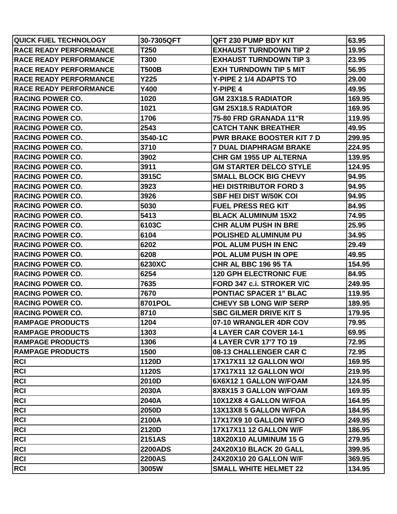| <b>QUICK FUEL TECHNOLOGY</b>   | 30-7305QFT     | QFT 230 PUMP BDY KIT             | 63.95  |
|--------------------------------|----------------|----------------------------------|--------|
| <b>RACE READY PERFORMANCE</b>  | T250           | <b>EXHAUST TURNDOWN TIP 2</b>    | 19.95  |
| <b>IRACE READY PERFORMANCE</b> | T300           | <b>EXHAUST TURNDOWN TIP 3</b>    | 23.95  |
| <b>IRACE READY PERFORMANCE</b> | T500B          | <b>EXH TURNDOWN TIP 5 MIT</b>    | 56.95  |
| <b>IRACE READY PERFORMANCE</b> | Y225           | Y-PIPE 2 1/4 ADAPTS TO           | 29.00  |
| <b>RACE READY PERFORMANCE</b>  | Y400           | Y-PIPE 4                         | 49.95  |
| <b>IRACING POWER CO.</b>       | 1020           | <b>GM 23X18.5 RADIATOR</b>       | 169.95 |
| <b>RACING POWER CO.</b>        | 1021           | <b>GM 25X18.5 RADIATOR</b>       | 169.95 |
| <b>IRACING POWER CO.</b>       | 1706           | 75-80 FRD GRANADA 11"R           | 119.95 |
| <b>RACING POWER CO.</b>        | 2543           | <b>CATCH TANK BREATHER</b>       | 49.95  |
| <b>IRACING POWER CO.</b>       | 3540-1C        | <b>PWR BRAKE BOOSTER KIT 7 D</b> | 299.95 |
| <b>RACING POWER CO.</b>        | 3710           | <b>7 DUAL DIAPHRAGM BRAKE</b>    | 224.95 |
| <b>IRACING POWER CO.</b>       | 3902           | <b>CHR GM 1955 UP ALTERNA</b>    | 139.95 |
| <b>RACING POWER CO.</b>        | 3911           | <b>GM STARTER DELCO STYLE</b>    | 124.95 |
| <b>IRACING POWER CO.</b>       | 3915C          | <b>SMALL BLOCK BIG CHEVY</b>     | 94.95  |
| <b>RACING POWER CO.</b>        | 3923           | <b>HEI DISTRIBUTOR FORD 3</b>    | 94.95  |
| <b>IRACING POWER CO.</b>       | 3926           | <b>SBF HEI DIST W/50K COI</b>    | 94.95  |
| <b>RACING POWER CO.</b>        | 5030           | <b>FUEL PRESS REG KIT</b>        | 84.95  |
| <b>IRACING POWER CO.</b>       | 5413           | <b>BLACK ALUMINUM 15X2</b>       | 74.95  |
| <b>RACING POWER CO.</b>        | 6103C          | <b>CHR ALUM PUSH IN BRE</b>      | 25.95  |
| <b>IRACING POWER CO.</b>       | 6104           | <b>POLISHED ALUMINUM PU</b>      | 34.95  |
| <b>RACING POWER CO.</b>        | 6202           | <b>POL ALUM PUSH IN ENC</b>      | 29.49  |
| <b>IRACING POWER CO.</b>       | 6208           | <b>POL ALUM PUSH IN OPE</b>      | 49.95  |
| <b>RACING POWER CO.</b>        | 6230XC         | <b>CHR AL BBC 196 95 TA</b>      | 154.95 |
| <b>IRACING POWER CO.</b>       | 6254           | <b>120 GPH ELECTRONIC FUE</b>    | 84.95  |
| <b>RACING POWER CO.</b>        | 7635           | <b>FORD 347 c.i. STROKER V/C</b> | 249.95 |
| <b>IRACING POWER CO.</b>       | 7670           | <b>PONTIAC SPACER 1" BLAC</b>    | 119.95 |
| <b>RACING POWER CO.</b>        | 8701POL        | <b>CHEVY SB LONG W/P SERP</b>    | 189.95 |
| <b>IRACING POWER CO.</b>       | 8710           | <b>SBC GILMER DRIVE KIT S</b>    | 179.95 |
| <b>RAMPAGE PRODUCTS</b>        | 1204           | 07-10 WRANGLER 4DR COV           | 79.95  |
| <b>IRAMPAGE PRODUCTS</b>       | 1303           | 4 LAYER CAR COVER 14-1           | 69.95  |
| <b>RAMPAGE PRODUCTS</b>        | 1306           | 4 LAYER CVR 17'7 TO 19           | 72.95  |
| <b>IRAMPAGE PRODUCTS</b>       | 1500           | 08-13 CHALLENGER CAR C           | 72.95  |
| <b>RCI</b>                     | 1120D          | 17X17X11 12 GALLON WO/           | 169.95 |
| <b>RCI</b>                     | <b>1120S</b>   | 17X17X11 12 GALLON WO/           | 219.95 |
| <b>RCI</b>                     | 2010D          | 6X6X12 1 GALLON W/FOAM           | 124.95 |
| RCI                            | 2030A          | 8X8X15 3 GALLON W/FOAM           | 169.95 |
| RCI                            | 2040A          | 10X12X8 4 GALLON W/FOA           | 164.95 |
| <b>RCI</b>                     | 2050D          | 13X13X8 5 GALLON W/FOA           | 184.95 |
| <b>RCI</b>                     | 2100A          | 17X17X9 10 GALLON W/FO           | 249.95 |
| <b>RCI</b>                     | 2120D          | <b>17X17X11 12 GALLON W/F</b>    | 186.95 |
| RCI                            | <b>2151AS</b>  | <b>18X20X10 ALUMINUM 15 G</b>    | 279.95 |
| <b>RCI</b>                     | <b>2200ADS</b> | 24X20X10 BLACK 20 GALL           | 399.95 |
| <b>RCI</b>                     | <b>2200AS</b>  | <b>24X20X10 20 GALLON W/F</b>    | 369.95 |
| <b>RCI</b>                     | 3005W          | <b>SMALL WHITE HELMET 22</b>     | 134.95 |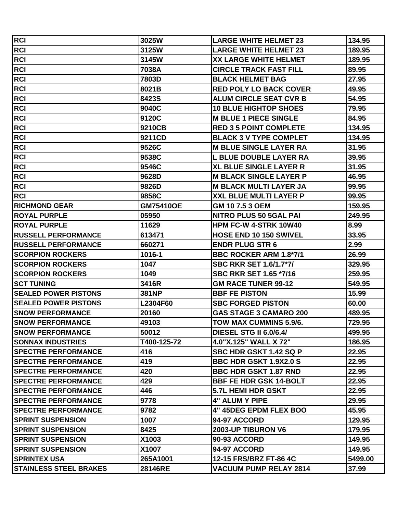| RCI                           | 3025W            | <b>LARGE WHITE HELMET 23</b>  | 134.95  |
|-------------------------------|------------------|-------------------------------|---------|
| <b>RCI</b>                    | 3125W            | <b>LARGE WHITE HELMET 23</b>  | 189.95  |
| RCI                           | 3145W            | <b>XX LARGE WHITE HELMET</b>  | 189.95  |
| <b>RCI</b>                    | 7038A            | <b>CIRCLE TRACK FAST FILL</b> | 89.95   |
| <b>RCI</b>                    | 7803D            | <b>BLACK HELMET BAG</b>       | 27.95   |
| <b>RCI</b>                    | 8021B            | <b>RED POLY LO BACK COVER</b> | 49.95   |
| RCI                           | 8423S            | <b>ALUM CIRCLE SEAT CVR B</b> | 54.95   |
| RCI                           | 9040C            | <b>10 BLUE HIGHTOP SHOES</b>  | 79.95   |
| <b>RCI</b>                    | 9120C            | <b>M BLUE 1 PIECE SINGLE</b>  | 84.95   |
| <b>RCI</b>                    | 9210CB           | <b>RED 3 5 POINT COMPLETE</b> | 134.95  |
| RCI                           | 9211CD           | <b>BLACK 3 V TYPE COMPLET</b> | 134.95  |
| RCI                           | 9526C            | <b>M BLUE SINGLE LAYER RA</b> | 31.95   |
| <b>RCI</b>                    | 9538C            | <b>L BLUE DOUBLE LAYER RA</b> | 39.95   |
| RCI                           | 9546C            | <b>XL BLUE SINGLE LAYER R</b> | 31.95   |
| RCI                           | 9628D            | <b>M BLACK SINGLE LAYER P</b> | 46.95   |
| <b>RCI</b>                    | 9826D            | <b>M BLACK MULTI LAYER JA</b> | 99.95   |
| <b>RCI</b>                    | 9858C            | XXL BLUE MULTI LAYER P        | 99.95   |
| <b>RICHMOND GEAR</b>          | <b>GM75410OE</b> | GM 107.53 OEM                 | 159.95  |
| <b>IROYAL PURPLE</b>          | 05950            | <b>NITRO PLUS 50 5GAL PAI</b> | 249.95  |
| <b>ROYAL PURPLE</b>           | 11629            | <b>HPM FC-W 4-STRK 10W40</b>  | 8.99    |
| <b>RUSSELL PERFORMANCE</b>    | 613471           | <b>HOSE END 10 150 SWIVEL</b> | 33.95   |
| <b>RUSSELL PERFORMANCE</b>    | 660271           | <b>ENDR PLUG STR 6</b>        | 2.99    |
| <b>SCORPION ROCKERS</b>       | 1016-1           | <b>BBC ROCKER ARM 1.8*7/1</b> | 26.99   |
| <b>SCORPION ROCKERS</b>       | 1047             | <b>SBC RKR SET 1.6/1.7*7/</b> | 329.95  |
| <b>SCORPION ROCKERS</b>       | 1049             | <b>SBC RKR SET 1.65 *7/16</b> | 259.95  |
| <b>ISCT TUNING</b>            | 3416R            | <b>GM RACE TUNER 99-12</b>    | 549.95  |
| <b>ISEALED POWER PISTONS</b>  | <b>381NP</b>     | <b>BBF FE PISTON</b>          | 15.99   |
| <b>SEALED POWER PISTONS</b>   | L2304F60         | <b>SBC FORGED PISTON</b>      | 60.00   |
| <b>SNOW PERFORMANCE</b>       | 20160            | <b>GAS STAGE 3 CAMARO 200</b> | 489.95  |
| <b>SNOW PERFORMANCE</b>       | 49103            | TOW MAX CUMMINS 5.9/6.        | 729.95  |
| <b>SNOW PERFORMANCE</b>       | 50012            | <b>DIESEL STG II 6.0/6.4/</b> | 499.95  |
| <b>SONNAX INDUSTRIES</b>      | T400-125-72      | 4.0"X.125" WALL X 72"         | 186.95  |
| <b>ISPECTRE PERFORMANCE</b>   | 416              | SBC HDR GSKT 1.42 SQ P        | 22.95   |
| <b>ISPECTRE PERFORMANCE</b>   | 419              | <b>BBC HDR GSKT 1.9X2.0 S</b> | 22.95   |
| <b>SPECTRE PERFORMANCE</b>    | 420              | <b>BBC HDR GSKT 1.87 RND</b>  | 22.95   |
| <b>ISPECTRE PERFORMANCE</b>   | 429              | <b>BBF FE HDR GSK 14-BOLT</b> | 22.95   |
| <b>ISPECTRE PERFORMANCE</b>   | 446              | <b>5.7L HEMI HDR GSKT</b>     | 22.95   |
| <b>SPECTRE PERFORMANCE</b>    | 9778             | <b>4" ALUM Y PIPE</b>         | 29.95   |
| <b>ISPECTRE PERFORMANCE</b>   | 9782             | <b>4" 45DEG EPDM FLEX BOO</b> | 45.95   |
| <b>ISPRINT SUSPENSION</b>     | 1007             | <b>94-97 ACCORD</b>           | 129.95  |
| <b>ISPRINT SUSPENSION</b>     | 8425             | 2003-UP TIBURON V6            | 179.95  |
| <b>SPRINT SUSPENSION</b>      | X1003            | 90-93 ACCORD                  | 149.95  |
| <b>SPRINT SUSPENSION</b>      | X1007            | 94-97 ACCORD                  | 149.95  |
| <b> SPRINTEX USA</b>          | 265A1001         | 12-15 FRS/BRZ FT-86 4C        | 5499.00 |
| <b>STAINLESS STEEL BRAKES</b> | 28146RE          | <b>VACUUM PUMP RELAY 2814</b> | 37.99   |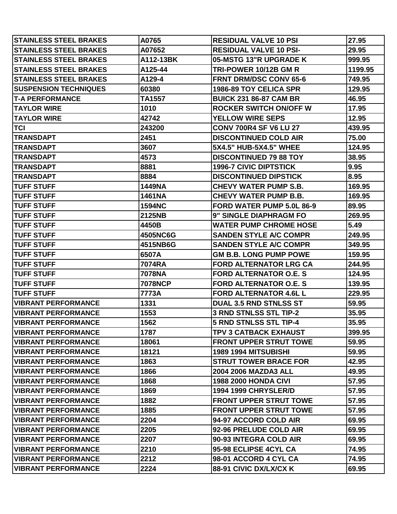| <b>ISTAINLESS STEEL BRAKES</b> | A0765          | <b>RESIDUAL VALVE 10 PSI</b>  | 27.95   |
|--------------------------------|----------------|-------------------------------|---------|
| <b>STAINLESS STEEL BRAKES</b>  | A07652         | <b>RESIDUAL VALVE 10 PSI-</b> | 29.95   |
| <b>STAINLESS STEEL BRAKES</b>  | A112-13BK      | 05-MSTG 13"R UPGRADE K        | 999.95  |
| <b>STAINLESS STEEL BRAKES</b>  | A125-44        | TRI-POWER 10/12B GM R         | 1199.95 |
| <b>STAINLESS STEEL BRAKES</b>  | A129-4         | <b>FRNT DRM/DSC CONV 65-6</b> | 749.95  |
| <b>SUSPENSION TECHNIQUES</b>   | 60380          | <b>1986-89 TOY CELICA SPR</b> | 129.95  |
| <b>T-A PERFORMANCE</b>         | TA1557         | <b>BUICK 231 86-87 CAM BR</b> | 46.95   |
| <b>TAYLOR WIRE</b>             | 1010           | <b>ROCKER SWITCH ON/OFF W</b> | 17.95   |
| <b>TAYLOR WIRE</b>             | 42742          | <b>YELLOW WIRE SEPS</b>       | 12.95   |
| TCI                            | 243200         | <b>CONV 700R4 SF V6 LU 27</b> | 439.95  |
| <b>TRANSDAPT</b>               | 2451           | <b>DISCONTINUED COLD AIR</b>  | 75.00   |
| <b>TRANSDAPT</b>               | 3607           | 5X4.5" HUB-5X4.5" WHEE        | 124.95  |
| <b>TRANSDAPT</b>               | 4573           | <b>DISCONTINUED 79 88 TOY</b> | 38.95   |
| <b>TRANSDAPT</b>               | 8881           | <b>1996-7 CIVIC DIPTSTICK</b> | 9.95    |
| TRANSDAPT                      | 8884           | <b>DISCONTINUED DIPSTICK</b>  | 8.95    |
| <b>TUFF STUFF</b>              | <b>1449NA</b>  | <b>CHEVY WATER PUMP S.B.</b>  | 169.95  |
| <b>ITUFF STUFF</b>             | 1461NA         | <b>CHEVY WATER PUMP B.B.</b>  | 169.95  |
| <b>TUFF STUFF</b>              | <b>1594NC</b>  | FORD WATER PUMP 5.0L 86-9     | 89.95   |
| <b>TUFF STUFF</b>              | 2125NB         | 9" SINGLE DIAPHRAGM FO        | 269.95  |
| <b>TUFF STUFF</b>              | 4450B          | <b>WATER PUMP CHROME HOSE</b> | 5.49    |
| <b>ITUFF STUFF</b>             | 4505NC6G       | <b>SANDEN STYLE A/C COMPR</b> | 249.95  |
| <b>TUFF STUFF</b>              | 4515NB6G       | <b>SANDEN STYLE A/C COMPR</b> | 349.95  |
| <b>TUFF STUFF</b>              | 6507A          | <b>GM B.B. LONG PUMP POWE</b> | 159.95  |
| <b>TUFF STUFF</b>              | 7074RA         | <b>FORD ALTERNATOR LRG CA</b> | 244.95  |
| <b>ITUFF STUFF</b>             | 7078NA         | <b>FORD ALTERNATOR O.E. S</b> | 124.95  |
| <b>ITUFF STUFF</b>             | <b>7078NCP</b> | <b>FORD ALTERNATOR O.E. S</b> | 139.95  |
| <b>TUFF STUFF</b>              | 7773A          | <b>FORD ALTERNATOR 4.6L L</b> | 229.95  |
| <b>VIBRANT PERFORMANCE</b>     | 1331           | <b>DUAL 3.5 RND STNLSS ST</b> | 59.95   |
| <b>VIBRANT PERFORMANCE</b>     | 1553           | <b>3 RND STNLSS STL TIP-2</b> | 35.95   |
| <b>VIBRANT PERFORMANCE</b>     | 1562           | <b>5 RND STNLSS STL TIP-4</b> | 35.95   |
| <b>VIBRANT PERFORMANCE</b>     | 1787           | <b>TPV 3 CATBACK EXHAUST</b>  | 399.95  |
| IVIBRANT PERFORMANCE           | 18061          | <b>FRONT UPPER STRUT TOWE</b> | 59.95   |
| <b>VIBRANT PERFORMANCE</b>     | 18121          | <b>1989 1994 MITSUBISHI</b>   | 59.95   |
| <b>VIBRANT PERFORMANCE</b>     | 1863           | <b>STRUT TOWER BRACE FOR</b>  | 42.95   |
| <b> VIBRANT PERFORMANCE</b>    | 1866           | 2004 2006 MAZDA3 ALL          | 49.95   |
| IVIBRANT PERFORMANCE           | 1868           | <b>1988 2000 HONDA CIVI</b>   | 57.95   |
| <b>IVIBRANT PERFORMANCE</b>    | 1869           | <b>1994 1999 CHRYSLER/D</b>   | 57.95   |
| IVIBRANT PERFORMANCE           | 1882           | <b>FRONT UPPER STRUT TOWE</b> | 57.95   |
| <b>IVIBRANT PERFORMANCE</b>    | 1885           | <b>FRONT UPPER STRUT TOWE</b> | 57.95   |
| IVIBRANT PERFORMANCE           | 2204           | 94-97 ACCORD COLD AIR         | 69.95   |
| <b>VIBRANT PERFORMANCE</b>     | 2205           | 92-96 PRELUDE COLD AIR        | 69.95   |
| IVIBRANT PERFORMANCE           | 2207           | 90-93 INTEGRA COLD AIR        | 69.95   |
| <b> VIBRANT PERFORMANCE</b>    | 2210           | 95-98 ECLIPSE 4CYL CA         | 74.95   |
| <b>VIBRANT PERFORMANCE</b>     | 2212           | 98-01 ACCORD 4 CYL CA         | 74.95   |
| <b>VIBRANT PERFORMANCE</b>     | 2224           | 88-91 CIVIC DX/LX/CX K        | 69.95   |